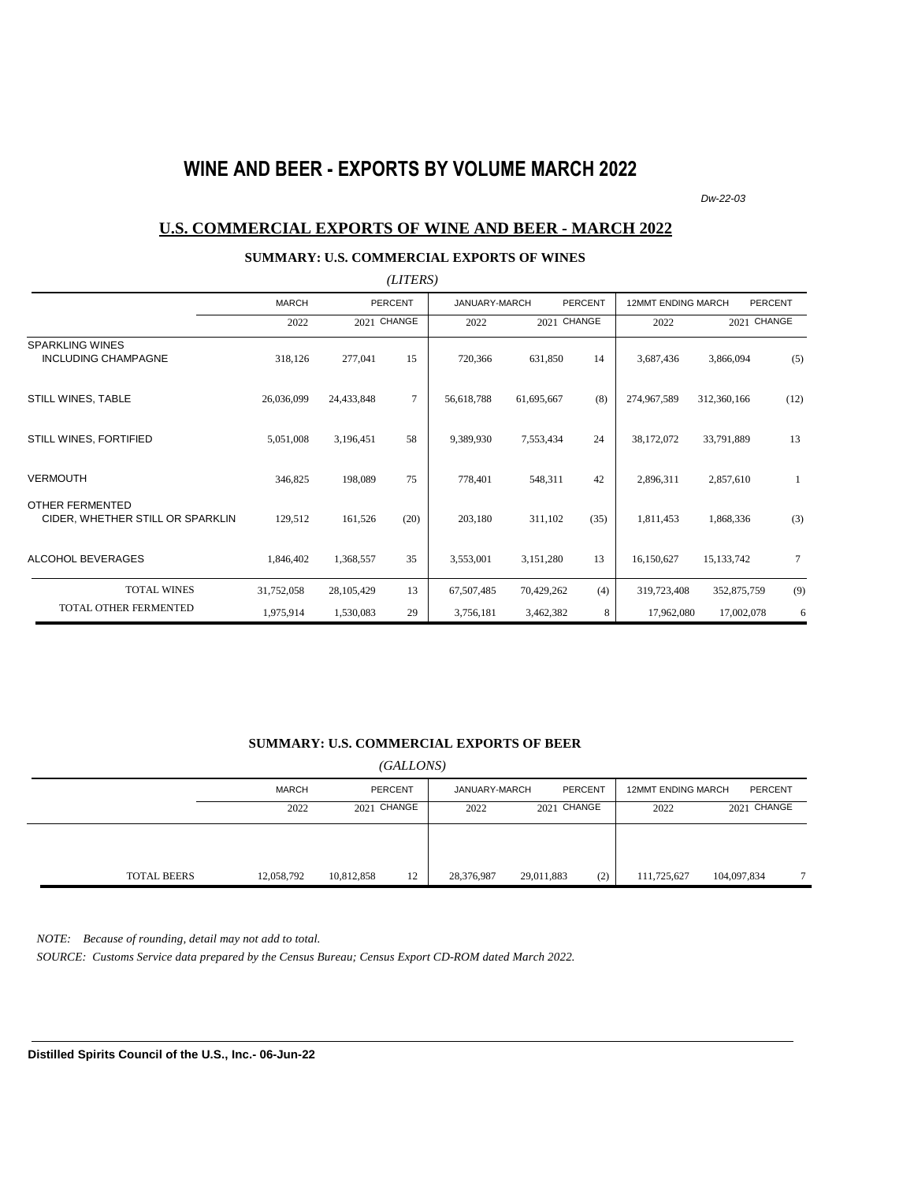## **WINE AND BEER - EXPORTS BY VOLUME MARCH 2022**

*Dw-22-03*

### **U.S. COMMERCIAL EXPORTS OF WINE AND BEER - MARCH 2022**

### **SUMMARY: U.S. COMMERCIAL EXPORTS OF WINES**

|                                                      |              |             | (LITERS)       |               |             |                |                           |              |                 |
|------------------------------------------------------|--------------|-------------|----------------|---------------|-------------|----------------|---------------------------|--------------|-----------------|
|                                                      | <b>MARCH</b> |             | <b>PERCENT</b> | JANUARY-MARCH |             | <b>PERCENT</b> | <b>12MMT ENDING MARCH</b> |              | <b>PERCENT</b>  |
|                                                      | 2022         | 2021 CHANGE |                | 2022          | 2021 CHANGE |                | 2022                      | 2021 CHANGE  |                 |
| <b>SPARKLING WINES</b><br><b>INCLUDING CHAMPAGNE</b> | 318,126      | 277,041     | 15             | 720,366       | 631,850     | 14             | 3,687,436                 | 3,866,094    | (5)             |
| STILL WINES, TABLE                                   | 26,036,099   | 24,433,848  | $\tau$         | 56,618,788    | 61,695,667  | (8)            | 274,967,589               | 312,360,166  | (12)            |
| STILL WINES, FORTIFIED                               | 5,051,008    | 3,196,451   | 58             | 9,389,930     | 7,553,434   | 24             | 38,172,072                | 33,791,889   | 13              |
| <b>VERMOUTH</b>                                      | 346,825      | 198,089     | 75             | 778,401       | 548,311     | 42             | 2,896,311                 | 2,857,610    | 1               |
| OTHER FERMENTED<br>CIDER, WHETHER STILL OR SPARKLIN  | 129,512      | 161,526     | (20)           | 203,180       | 311,102     | (35)           | 1,811,453                 | 1,868,336    | (3)             |
| <b>ALCOHOL BEVERAGES</b>                             | 1,846,402    | 1,368,557   | 35             | 3,553,001     | 3,151,280   | 13             | 16,150,627                | 15, 133, 742 | $7\phantom{.0}$ |
| <b>TOTAL WINES</b>                                   | 31,752,058   | 28,105,429  | 13             | 67,507,485    | 70,429,262  | (4)            | 319,723,408               | 352,875,759  | (9)             |
| TOTAL OTHER FERMENTED                                | 1,975,914    | 1,530,083   | 29             | 3,756,181     | 3,462,382   | 8              | 17,962,080                | 17,002,078   | 6               |

#### **SUMMARY: U.S. COMMERCIAL EXPORTS OF BEER**

*(GALLONS)*

|                    | MARCH      | <b>PERCENT</b>   |            | JANUARY-MARCH | <b>PERCENT</b> | <b>12MMT ENDING MARCH</b> | PERCENT     |   |
|--------------------|------------|------------------|------------|---------------|----------------|---------------------------|-------------|---|
|                    | 2022       | 2021 CHANGE      | 2022       | 2021 CHANGE   |                | 2022                      | 2021 CHANGE |   |
|                    |            |                  |            |               |                |                           |             |   |
|                    |            |                  |            |               |                |                           |             |   |
| <b>TOTAL BEERS</b> | 12,058,792 | 10,812,858<br>12 | 28,376,987 | 29,011,883    | (2)            | 111,725,627               | 104,097,834 | – |

*NOTE: Because of rounding, detail may not add to total.*

*SOURCE: Customs Service data prepared by the Census Bureau; Census Export CD-ROM dated March 2022.*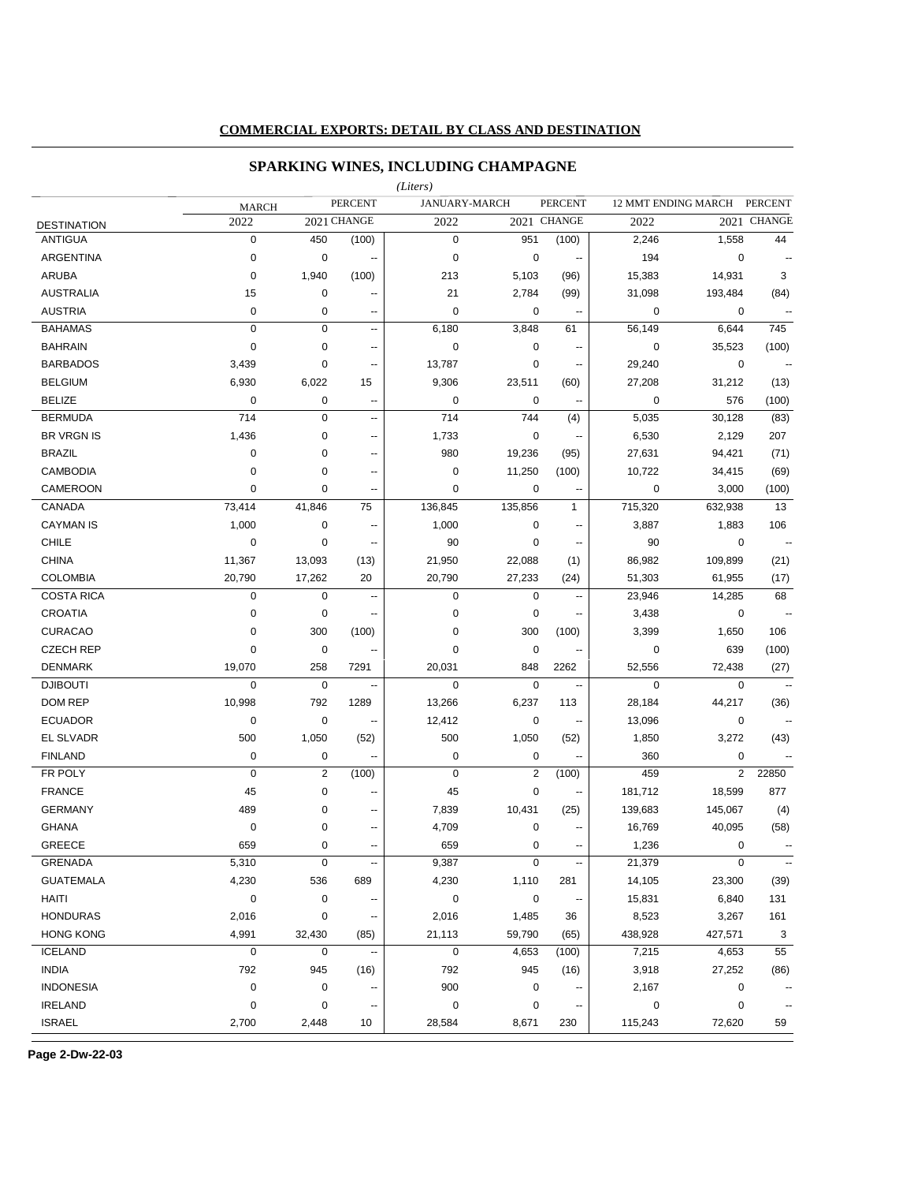### **COMMERCIAL EXPORTS: DETAIL BY CLASS AND DESTINATION**

## **SPARKING WINES, INCLUDING CHAMPAGNE**

|                    |              |                |                          | (Liters)    |                |                          |             |                     |                          |
|--------------------|--------------|----------------|--------------------------|-------------|----------------|--------------------------|-------------|---------------------|--------------------------|
|                    | <b>MARCH</b> |                | <b>PERCENT</b>           |             | JANUARY-MARCH  | <b>PERCENT</b>           |             | 12 MMT ENDING MARCH | <b>PERCENT</b>           |
| <b>DESTINATION</b> | 2022         |                | 2021 CHANGE              | 2022        |                | 2021 CHANGE              | 2022        |                     | 2021 CHANGE              |
| <b>ANTIGUA</b>     | $\mathbf 0$  | 450            | (100)                    | $\mathbf 0$ | 951            | (100)                    | 2,246       | 1,558               | 44                       |
| ARGENTINA          | $\mathbf 0$  | 0              | $\overline{\phantom{a}}$ | $\mathbf 0$ | $\pmb{0}$      | ۰.                       | 194         | $\mathbf 0$         |                          |
| <b>ARUBA</b>       | $\mathbf 0$  | 1,940          | (100)                    | 213         | 5,103          | (96)                     | 15,383      | 14,931              | 3                        |
| <b>AUSTRALIA</b>   | 15           | 0              | $\overline{a}$           | 21          | 2,784          | (99)                     | 31,098      | 193,484             | (84)                     |
| <b>AUSTRIA</b>     | $\mathbf 0$  | 0              | Ξ.                       | $\mathbf 0$ | 0              | $\overline{\phantom{a}}$ | 0           | 0                   | $\overline{a}$           |
| <b>BAHAMAS</b>     | $\mathbf 0$  | 0              | $\overline{\phantom{a}}$ | 6,180       | 3,848          | 61                       | 56,149      | 6,644               | 745                      |
| <b>BAHRAIN</b>     | $\mathbf 0$  | 0              | $\sim$                   | $\mathbf 0$ | $\mathbf 0$    | $\overline{\phantom{a}}$ | $\mathbf 0$ | 35,523              | (100)                    |
| <b>BARBADOS</b>    | 3,439        | 0              | $\ddot{\phantom{0}}$     | 13,787      | $\pmb{0}$      | --                       | 29,240      | $\mathbf 0$         | $\overline{\phantom{a}}$ |
| <b>BELGIUM</b>     | 6,930        | 6,022          | 15                       | 9,306       | 23,511         | (60)                     | 27,208      | 31,212              | (13)                     |
| <b>BELIZE</b>      | $\mathbf 0$  | 0              | $\ddotsc$                | $\mathbf 0$ | 0              | --                       | $\mathbf 0$ | 576                 | (100)                    |
| <b>BERMUDA</b>     | 714          | $\mathbf 0$    | --                       | 714         | 744            | (4)                      | 5,035       | 30,128              | (83)                     |
| <b>BR VRGN IS</b>  | 1,436        | 0              | ٠.                       | 1,733       | 0              | $\overline{\phantom{a}}$ | 6,530       | 2,129               | 207                      |
| <b>BRAZIL</b>      | 0            | $\pmb{0}$      | --                       | 980         | 19,236         | (95)                     | 27,631      | 94,421              | (71)                     |
| <b>CAMBODIA</b>    | $\mathbf 0$  | $\mathbf 0$    | --                       | $\mathbf 0$ | 11,250         | (100)                    | 10,722      | 34,415              | (69)                     |
| CAMEROON           | $\mathbf 0$  | $\pmb{0}$      | --                       | $\mathbf 0$ | $\mathbf 0$    | $\overline{\phantom{a}}$ | $\mathbf 0$ | 3,000               | (100)                    |
| CANADA             | 73,414       | 41,846         | 75                       | 136,845     | 135,856        | $\mathbf{1}$             | 715,320     | 632,938             | 13                       |
| <b>CAYMAN IS</b>   | 1,000        | $\pmb{0}$      | --                       | 1,000       | $\mathbf 0$    | --                       | 3,887       | 1,883               | 106                      |
| <b>CHILE</b>       | $\mathbf 0$  | $\pmb{0}$      | --                       | 90          | $\mathbf 0$    | --                       | 90          | 0                   | $\ddotsc$                |
| <b>CHINA</b>       | 11,367       | 13,093         | (13)                     | 21,950      | 22,088         | (1)                      | 86,982      | 109,899             | (21)                     |
| <b>COLOMBIA</b>    | 20,790       | 17,262         | 20                       | 20,790      | 27,233         | (24)                     | 51,303      | 61,955              | (17)                     |
| <b>COSTA RICA</b>  | $\mathbf 0$  | 0              | $\overline{\phantom{a}}$ | $\mathbf 0$ | $\mathbf 0$    | $\overline{\phantom{a}}$ | 23,946      | 14,285              | 68                       |
| <b>CROATIA</b>     | $\mathbf 0$  | 0              | --                       | 0           | 0              |                          | 3,438       | 0                   | $\ddotsc$                |
| <b>CURACAO</b>     | $\mathbf 0$  | 300            | (100)                    | 0           | 300            | (100)                    | 3,399       | 1,650               | 106                      |
| <b>CZECH REP</b>   | $\mathbf 0$  | 0              | $\overline{\phantom{a}}$ | $\mathbf 0$ | 0              | $\overline{\phantom{a}}$ | 0           | 639                 | (100)                    |
| <b>DENMARK</b>     | 19,070       | 258            | 7291                     | 20,031      | 848            | 2262                     | 52,556      | 72,438              | (27)                     |
| <b>DJIBOUTI</b>    | $\mathbf 0$  | 0              | $\overline{\phantom{a}}$ | $\mathbf 0$ | $\mathbf 0$    | $\overline{\phantom{a}}$ | $\mathbf 0$ | $\mathbf 0$         |                          |
| DOM REP            | 10,998       | 792            | 1289                     | 13,266      | 6,237          | 113                      | 28,184      | 44,217              | (36)                     |
| <b>ECUADOR</b>     | 0            | 0              | $\overline{a}$           | 12,412      | 0              | $\overline{\phantom{a}}$ | 13,096      | 0                   | $\sim$                   |
| EL SLVADR          | 500          | 1,050          | (52)                     | 500         | 1,050          | (52)                     | 1,850       | 3,272               | (43)                     |
| <b>FINLAND</b>     | $\mathbf 0$  | 0              | --                       | $\mathbf 0$ | $\mathbf 0$    | ÷.                       | 360         | 0                   |                          |
| FR POLY            | $\mathbf 0$  | $\overline{2}$ | (100)                    | $\mathbf 0$ | $\overline{2}$ | (100)                    | 459         | $\overline{2}$      | 22850                    |
| <b>FRANCE</b>      | 45           | 0              | --                       | 45          | $\pmb{0}$      | $\overline{\phantom{a}}$ | 181,712     | 18,599              | 877                      |
| <b>GERMANY</b>     | 489          | 0              | --                       | 7,839       | 10,431         | (25)                     | 139,683     | 145,067             | (4)                      |
| <b>GHANA</b>       | 0            | 0              | -−                       | 4,709       | 0              | ۰.                       | 16,769      | 40,095              | (58)                     |
| GREECE             | 659          | 0              | ⊷                        | 659         | 0              | ۰.                       | 1,236       | 0                   |                          |
| <b>GRENADA</b>     | 5,310        | 0              | --                       | 9,387       | $\mathbf 0$    | $\overline{\phantom{a}}$ | 21,379      | $\mathbf 0$         | $\overline{\phantom{a}}$ |
| <b>GUATEMALA</b>   | 4,230        | 536            | 689                      | 4,230       | 1,110          | 281                      | 14,105      | 23,300              | (39)                     |
| HAITI              | $\pmb{0}$    | $\pmb{0}$      |                          | $\mathbf 0$ | 0              |                          | 15,831      | 6,840               | 131                      |
| <b>HONDURAS</b>    | 2,016        | 0              | ٠.                       | 2,016       | 1,485          | 36                       | 8,523       | 3,267               | 161                      |
| <b>HONG KONG</b>   | 4,991        | 32,430         | (85)                     | 21,113      | 59,790         | (65)                     | 438,928     | 427,571             | 3                        |
| <b>ICELAND</b>     | $\mathbf 0$  | 0              | $\ddotsc$                | $\mathbf 0$ | 4,653          | (100)                    | 7,215       | 4,653               | 55                       |
| <b>INDIA</b>       | 792          | 945            | (16)                     | 792         | 945            | (16)                     | 3,918       | 27,252              | (86)                     |
| <b>INDONESIA</b>   | $\pmb{0}$    | $\pmb{0}$      | ٠.                       | 900         | 0              |                          | 2,167       | 0                   |                          |
| <b>IRELAND</b>     | $\pmb{0}$    | 0              | ٠.                       | $\mathbf 0$ | 0              |                          | 0           | 0                   | $\overline{\phantom{a}}$ |
| <b>ISRAEL</b>      |              |                |                          |             |                |                          |             |                     |                          |
|                    | 2,700        | 2,448          | 10                       | 28,584      | 8,671          | 230                      | 115,243     | 72,620              | 59                       |

**Page 2-Dw-22-03**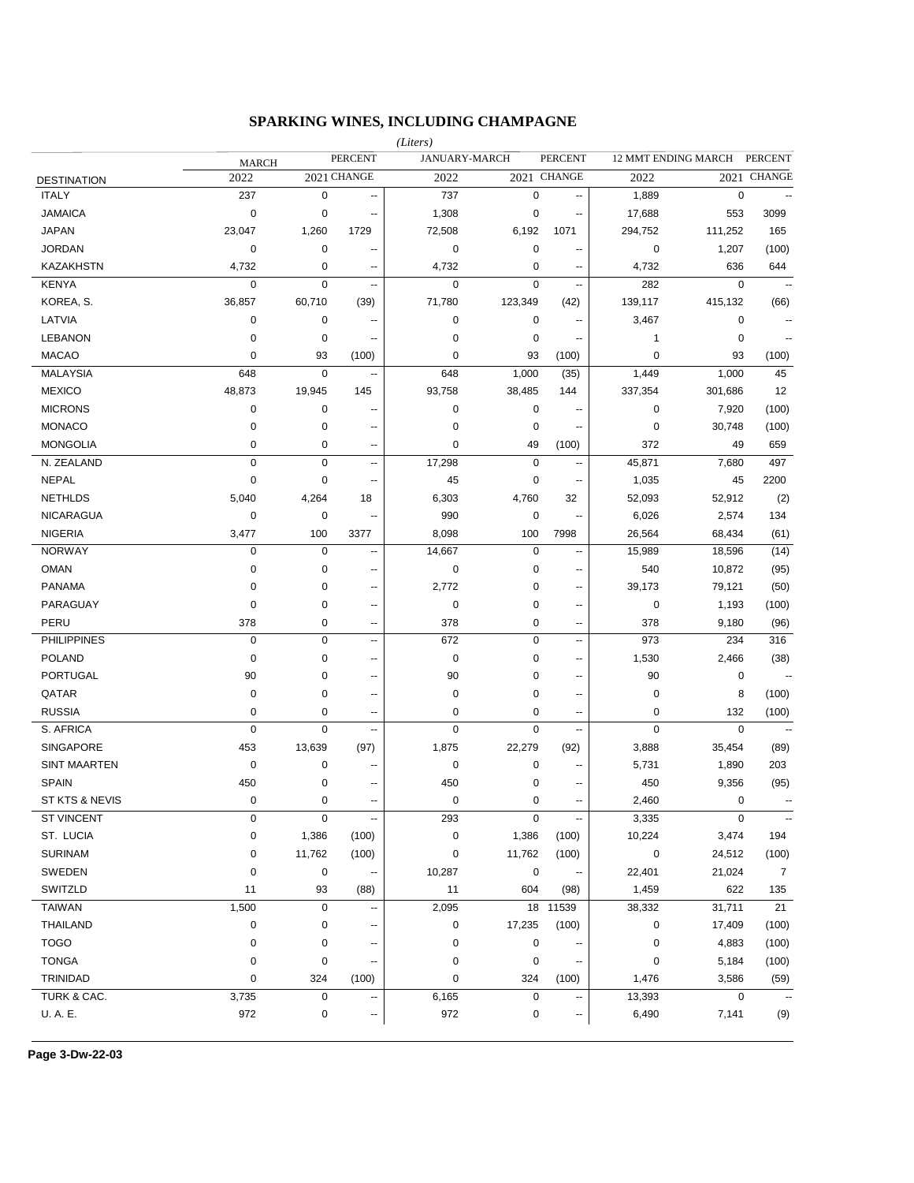## **SPARKING WINES, INCLUDING CHAMPAGNE**

|                     |              |             |                          | (Liters)       |                      |                          |             |                     |                |
|---------------------|--------------|-------------|--------------------------|----------------|----------------------|--------------------------|-------------|---------------------|----------------|
|                     | <b>MARCH</b> |             | <b>PERCENT</b>           |                | <b>JANUARY-MARCH</b> | <b>PERCENT</b>           |             | 12 MMT ENDING MARCH | <b>PERCENT</b> |
| <b>DESTINATION</b>  | 2022         |             | 2021 CHANGE              | 2022           |                      | 2021 CHANGE              | 2022        |                     | 2021 CHANGE    |
| <b>ITALY</b>        | 237          | $\pmb{0}$   | --                       | 737            | $\mathbf 0$          | --                       | 1,889       | $\mathbf 0$         |                |
| <b>JAMAICA</b>      | $\mathbf 0$  | 0           | ٠.                       | 1,308          | 0                    | $\overline{\phantom{a}}$ | 17,688      | 553                 | 3099           |
| <b>JAPAN</b>        | 23,047       | 1,260       | 1729                     | 72,508         | 6,192                | 1071                     | 294,752     | 111,252             | 165            |
| <b>JORDAN</b>       | 0            | 0           | ٠.                       | 0              | $\mathbf 0$          | --                       | 0           | 1,207               | (100)          |
| <b>KAZAKHSTN</b>    | 4,732        | 0           | ۰.                       | 4,732          | 0                    | $\overline{\phantom{a}}$ | 4,732       | 636                 | 644            |
| <b>KENYA</b>        | $\mathbf 0$  | $\pmb{0}$   | --                       | 0              | $\mathbf 0$          | --                       | 282         | $\mathbf 0$         |                |
| KOREA, S.           | 36,857       | 60,710      | (39)                     | 71,780         | 123,349              | (42)                     | 139,117     | 415,132             | (66)           |
| LATVIA              | 0            | 0           |                          | 0              | 0                    | --                       | 3,467       | 0                   |                |
| <b>LEBANON</b>      | 0            | 0           | ۵.                       | 0              | 0                    | $\overline{\phantom{a}}$ | 1           | 0                   |                |
| <b>MACAO</b>        | 0            | 93          | (100)                    | 0              | 93                   | (100)                    | 0           | 93                  | (100)          |
| <b>MALAYSIA</b>     | 648          | 0           | ۰.                       | 648            | 1,000                | (35)                     | 1,449       | 1,000               | 45             |
| <b>MEXICO</b>       | 48,873       | 19,945      | 145                      | 93,758         | 38,485               | 144                      | 337,354     | 301,686             | 12             |
| <b>MICRONS</b>      | 0            | 0           | ٠.                       | 0              | 0                    |                          | 0           | 7,920               | (100)          |
| <b>MONACO</b>       | 0            | 0           | --                       | 0              | 0                    | $\overline{a}$           | 0           | 30,748              | (100)          |
| <b>MONGOLIA</b>     | 0            | 0           | ٠.                       | 0              | 49                   | (100)                    | 372         | 49                  | 659            |
| N. ZEALAND          | $\mathbf 0$  | $\mathbf 0$ | Ш,                       | 17,298         | $\mathbf 0$          | Ξ.                       | 45,871      | 7,680               | 497            |
| <b>NEPAL</b>        | $\mathbf 0$  | $\mathbf 0$ | ٠.                       | 45             | $\mathbf 0$          | --                       | 1,035       | 45                  | 2200           |
| <b>NETHLDS</b>      | 5,040        | 4,264       | 18                       | 6,303          | 4,760                | 32                       | 52,093      | 52,912              | (2)            |
| <b>NICARAGUA</b>    | $\mathbf 0$  | $\pmb{0}$   | --                       | 990            | $\mathbf 0$          | --                       | 6,026       | 2,574               | 134            |
| <b>NIGERIA</b>      | 3,477        | 100         | 3377                     | 8,098          | 100                  | 7998                     | 26,564      | 68,434              | (61)           |
| <b>NORWAY</b>       | $\mathbf 0$  | $\mathbf 0$ | --                       | 14,667         | $\mathbf 0$          | --                       | 15,989      | 18,596              | (14)           |
| <b>OMAN</b>         | 0            | 0           | --                       | 0              | 0                    | $\overline{\phantom{a}}$ | 540         | 10,872              | (95)           |
| <b>PANAMA</b>       | 0            | 0           | ٠.                       | 2,772          | 0                    | $\overline{\phantom{a}}$ | 39,173      | 79,121              | (50)           |
| PARAGUAY            | 0            | 0           | --                       | 0              | 0                    | $\overline{\phantom{a}}$ | 0           | 1,193               | (100)          |
| PERU                | 378          | 0           | ٠.                       | 378            | $\mathbf 0$          | $\overline{a}$           | 378         | 9,180               | (96)           |
| <b>PHILIPPINES</b>  | $\mathbf 0$  | $\pmb{0}$   | $\overline{\phantom{a}}$ | 672            | $\mathbf 0$          | $\overline{a}$           | 973         | 234                 | 316            |
| <b>POLAND</b>       | $\mathbf 0$  | 0           | $\overline{a}$           | 0              | 0                    | $\overline{a}$           | 1,530       | 2,466               | (38)           |
| <b>PORTUGAL</b>     | 90           | 0           | $\overline{a}$           | 90             | 0                    | $\overline{a}$           | 90          | 0                   |                |
| QATAR               | 0            | 0           | $\overline{a}$           | 0              | 0                    | $\overline{a}$           | 0           | 8                   | (100)          |
| <b>RUSSIA</b>       | 0            | 0           | $\overline{a}$           | 0              | 0                    | $\overline{a}$           | 0           | 132                 | (100)          |
| S. AFRICA           | $\mathbf 0$  | $\mathbf 0$ | Ξ.                       | $\overline{0}$ | $\mathbf 0$          | ۰.                       | $\mathbf 0$ | $\mathbf 0$         |                |
| <b>SINGAPORE</b>    | 453          | 13,639      | (97)                     | 1,875          | 22,279               | (92)                     | 3,888       | 35,454              | (89)           |
| <b>SINT MAARTEN</b> | $\mathbf 0$  | 0           | --                       | 0              | 0                    | $\overline{\phantom{a}}$ | 5,731       | 1,890               | 203            |
| <b>SPAIN</b>        | 450          | 0           | --                       | 450            | 0                    | $\overline{\phantom{a}}$ | 450         | 9,356               | (95)           |
| ST KTS & NEVIS      | $\mathbf 0$  | 0           | --                       | 0              | $\mathbf 0$          | $\overline{\phantom{a}}$ | 2,460       | 0                   |                |
| <b>ST VINCENT</b>   | 0            | 0           | ۰.                       | 293            | $\pmb{0}$            |                          | 3,335       | $\pmb{0}$           | ۰.             |
| ST. LUCIA           | 0            | 1,386       | (100)                    | 0              | 1,386                | (100)                    | 10,224      | 3,474               | 194            |
| <b>SURINAM</b>      | 0            | 11,762      | (100)                    | 0              | 11,762               | (100)                    | $\pmb{0}$   | 24,512              | (100)          |
| SWEDEN              | $\pmb{0}$    | 0           |                          | 10,287         | $\pmb{0}$            |                          | 22,401      | 21,024              | $\overline{7}$ |
| SWITZLD             | 11           | 93          | (88)                     | 11             | 604                  | (98)                     | 1,459       | 622                 | 135            |
| TAIWAN              | 1,500        | 0           |                          | 2,095          | 18                   | 11539                    | 38,332      | 31,711              | 21             |
| <b>THAILAND</b>     | $\pmb{0}$    | 0           |                          | 0              | 17,235               | (100)                    | 0           | 17,409              | (100)          |
| <b>TOGO</b>         | 0            | $\pmb{0}$   |                          | 0              | $\pmb{0}$            |                          | $\pmb{0}$   | 4,883               | (100)          |
| <b>TONGA</b>        | 0            | 0           |                          | 0              | $\pmb{0}$            |                          | $\pmb{0}$   | 5,184               | (100)          |
| TRINIDAD            | 0            | 324         | (100)                    | 0              | 324                  | (100)                    | 1,476       | 3,586               | (59)           |
| TURK & CAC.         | 3,735        | 0           |                          | 6,165          | $\pmb{0}$            |                          | 13,393      | 0                   |                |
| U.A.E.              | 972          | 0           | ⊷                        | 972            | 0                    | ۰.                       | 6,490       | 7,141               | (9)            |
|                     |              |             |                          |                |                      |                          |             |                     |                |

**Page 3-Dw-22-03**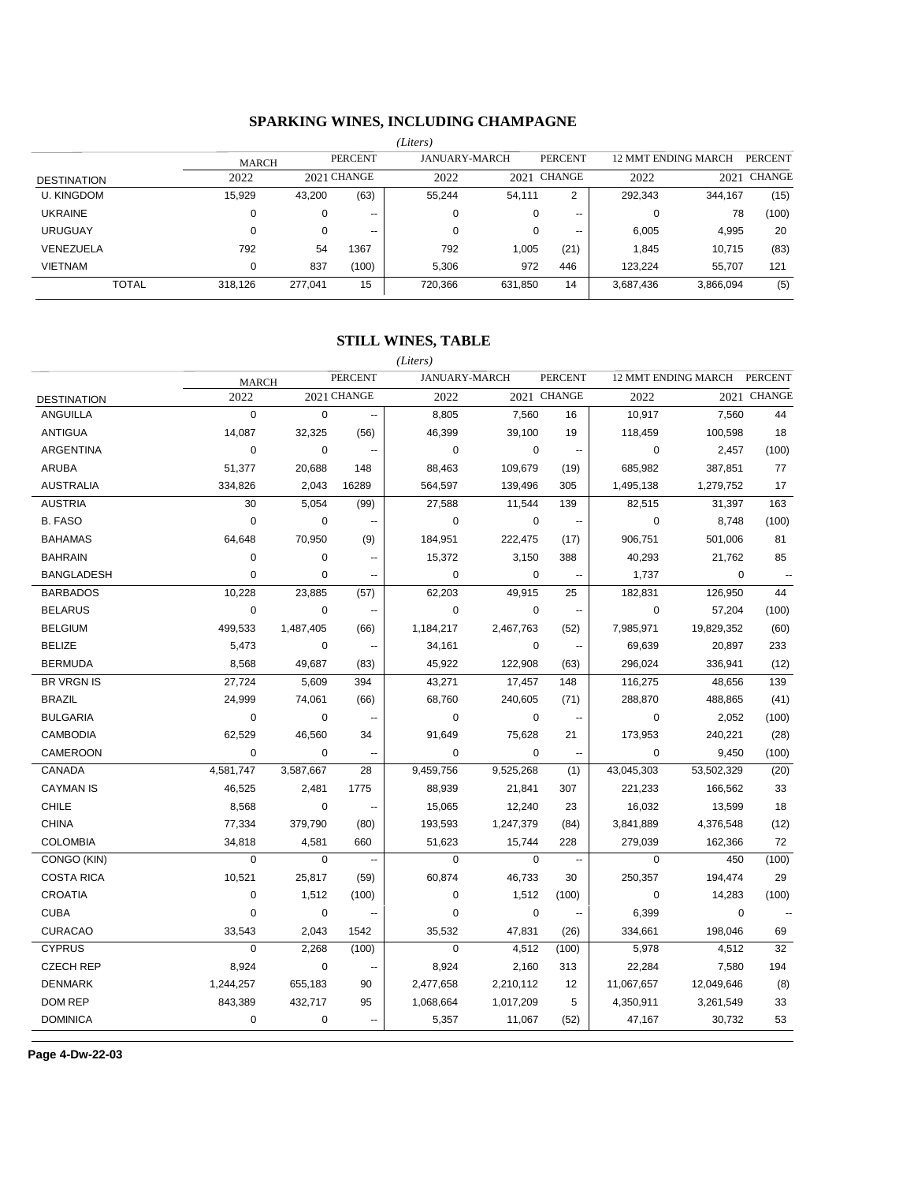## **SPARKING WINES, INCLUDING CHAMPAGNE**

|                    |              |         |                          | (Liters) |                      |                          |           |                     |                |
|--------------------|--------------|---------|--------------------------|----------|----------------------|--------------------------|-----------|---------------------|----------------|
|                    | <b>MARCH</b> |         | <b>PERCENT</b>           |          | <b>JANUARY-MARCH</b> | <b>PERCENT</b>           |           | 12 MMT ENDING MARCH | <b>PERCENT</b> |
| <b>DESTINATION</b> | 2022         |         | 2021 CHANGE              | 2022     |                      | 2021 CHANGE              | 2022      | 2021                | CHANGE         |
| <b>U. KINGDOM</b>  | 15.929       | 43,200  | (63)                     | 55,244   | 54.111               | 2                        | 292,343   | 344,167             | (15)           |
| <b>UKRAINE</b>     | 0            | 0       | $- -$                    | υ        | 0                    | $\overline{\phantom{a}}$ |           | 78                  | (100)          |
| <b>URUGUAY</b>     | 0            | 0       | $\overline{\phantom{a}}$ | 0        | 0                    | $- -$                    | 6,005     | 4,995               | 20             |
| VENEZUELA          | 792          | 54      | 1367                     | 792      | 1,005                | (21)                     | 1.845     | 10,715              | (83)           |
| <b>VIETNAM</b>     | 0            | 837     | (100)                    | 5,306    | 972                  | 446                      | 123.224   | 55,707              | 121            |
| <b>TOTAL</b>       | 318,126      | 277,041 | 15                       | 720,366  | 631,850              | 14                       | 3,687,436 | 3,866,094           | (5)            |
|                    |              |         |                          |          |                      |                          |           |                     |                |

## **STILL WINES, TABLE**

|                    |              |             |                          | (Liters)    |                      |                                         |             |                     |                |
|--------------------|--------------|-------------|--------------------------|-------------|----------------------|-----------------------------------------|-------------|---------------------|----------------|
|                    | <b>MARCH</b> |             | <b>PERCENT</b>           |             | <b>JANUARY-MARCH</b> | <b>PERCENT</b>                          |             | 12 MMT ENDING MARCH | <b>PERCENT</b> |
| <b>DESTINATION</b> | 2022         |             | 2021 CHANGE              | 2022        |                      | 2021 CHANGE                             | 2022        | 2021                | <b>CHANGE</b>  |
| ANGUILLA           | $\mathbf 0$  | $\mathbf 0$ | $\ddotsc$                | 8,805       | 7,560                | 16                                      | 10,917      | 7,560               | 44             |
| <b>ANTIGUA</b>     | 14,087       | 32,325      | (56)                     | 46,399      | 39,100               | 19                                      | 118,459     | 100,598             | 18             |
| <b>ARGENTINA</b>   | $\mathbf 0$  | $\mathbf 0$ | $\ddotsc$                | $\mathbf 0$ |                      | $\mathbf 0$<br>$\overline{\phantom{a}}$ | 0           | 2,457               | (100)          |
| <b>ARUBA</b>       | 51,377       | 20,688      | 148                      | 88,463      | 109,679              | (19)                                    | 685,982     | 387,851             | 77             |
| <b>AUSTRALIA</b>   | 334,826      | 2,043       | 16289                    | 564,597     | 139,496              | 305                                     | 1,495,138   | 1,279,752           | 17             |
| <b>AUSTRIA</b>     | 30           | 5,054       | (99)                     | 27,588      | 11,544               | 139                                     | 82,515      | 31,397              | 163            |
| <b>B. FASO</b>     | $\mathbf 0$  | $\mathbf 0$ | н.                       | $\mathbf 0$ |                      | $\mathbf 0$<br>$\overline{\phantom{a}}$ | $\mathbf 0$ | 8,748               | (100)          |
| <b>BAHAMAS</b>     | 64,648       | 70,950      | (9)                      | 184,951     | 222,475              | (17)                                    | 906,751     | 501,006             | 81             |
| <b>BAHRAIN</b>     | 0            | 0           | $\overline{a}$           | 15,372      | 3,150                | 388                                     | 40,293      | 21,762              | 85             |
| <b>BANGLADESH</b>  | $\mathbf 0$  | $\mathbf 0$ | --                       | $\mathbf 0$ |                      | $\mathbf 0$<br>$\sim$                   | 1,737       | $\mathbf 0$         |                |
| <b>BARBADOS</b>    | 10,228       | 23,885      | (57)                     | 62,203      | 49,915               | 25                                      | 182,831     | 126,950             | 44             |
| <b>BELARUS</b>     | $\mathbf 0$  | 0           | $\overline{\phantom{a}}$ | $\mathbf 0$ |                      | 0<br>$\sim$                             | $\mathbf 0$ | 57,204              | (100)          |
| <b>BELGIUM</b>     | 499,533      | 1,487,405   | (66)                     | 1,184,217   | 2,467,763            | (52)                                    | 7,985,971   | 19,829,352          | (60)           |
| <b>BELIZE</b>      | 5,473        | $\mathbf 0$ | $\sim$                   | 34,161      |                      | 0<br>$\overline{\phantom{a}}$           | 69,639      | 20,897              | 233            |
| <b>BERMUDA</b>     | 8,568        | 49,687      | (83)                     | 45,922      | 122,908              | (63)                                    | 296,024     | 336,941             | (12)           |
| <b>BR VRGN IS</b>  | 27,724       | 5,609       | 394                      | 43,271      | 17,457               | 148                                     | 116,275     | 48,656              | 139            |
| <b>BRAZIL</b>      | 24,999       | 74,061      | (66)                     | 68,760      | 240,605              | (71)                                    | 288,870     | 488,865             | (41)           |
| <b>BULGARIA</b>    | $\mathbf 0$  | $\mathbf 0$ |                          | $\Omega$    |                      | $\mathbf 0$<br>$\ddotsc$                | $\mathbf 0$ | 2,052               | (100)          |
| <b>CAMBODIA</b>    | 62,529       | 46,560      | 34                       | 91,649      | 75,628               | 21                                      | 173,953     | 240,221             | (28)           |
| CAMEROON           | $\mathbf 0$  | $\mathbf 0$ | $\overline{\phantom{a}}$ | $\mathbf 0$ |                      | $\mathbf 0$<br>$\sim$                   | 0           | 9,450               | (100)          |
| <b>CANADA</b>      | 4,581,747    | 3,587,667   | 28                       | 9,459,756   | 9,525,268            | (1)                                     | 43,045,303  | 53,502,329          | (20)           |
| <b>CAYMAN IS</b>   | 46,525       | 2,481       | 1775                     | 88,939      | 21,841               | 307                                     | 221,233     | 166,562             | 33             |
| <b>CHILE</b>       | 8,568        | 0           | $\ddotsc$                | 15,065      | 12,240               | 23                                      | 16,032      | 13,599              | 18             |
| <b>CHINA</b>       | 77,334       | 379,790     | (80)                     | 193,593     | 1,247,379            | (84)                                    | 3,841,889   | 4,376,548           | (12)           |
| <b>COLOMBIA</b>    | 34,818       | 4.581       | 660                      | 51,623      | 15.744               | 228                                     | 279,039     | 162,366             | 72             |
| CONGO (KIN)        | $\mathbf 0$  | $\mathbf 0$ | $\ddotsc$                | $\mathbf 0$ |                      | $\mathbf 0$<br>$\overline{\phantom{a}}$ | $\mathbf 0$ | 450                 | (100)          |
| <b>COSTA RICA</b>  | 10,521       | 25,817      | (59)                     | 60,874      | 46,733               | 30                                      | 250,357     | 194,474             | 29             |
| <b>CROATIA</b>     | $\mathbf 0$  | 1,512       | (100)                    | $\mathbf 0$ | 1,512                | (100)                                   | $\mathbf 0$ | 14,283              | (100)          |
| <b>CUBA</b>        | $\mathbf 0$  | 0           | ۰.                       | $\mathbf 0$ |                      | $\mathbf 0$<br>$\ddot{\phantom{1}}$     | 6,399       | $\mathbf 0$         |                |
| <b>CURACAO</b>     | 33,543       | 2,043       | 1542                     | 35,532      | 47,831               | (26)                                    | 334,661     | 198,046             | 69             |
| <b>CYPRUS</b>      | $\mathbf 0$  | 2,268       | (100)                    | $\mathbf 0$ | 4,512                | (100)                                   | 5,978       | 4,512               | 32             |
| <b>CZECH REP</b>   | 8,924        | $\Omega$    | $\overline{a}$           | 8,924       | 2,160                | 313                                     | 22,284      | 7,580               | 194            |
| <b>DENMARK</b>     | 1,244,257    | 655,183     | 90                       | 2,477,658   | 2,210,112            | 12                                      | 11,067,657  | 12,049,646          | (8)            |
| <b>DOM REP</b>     | 843,389      | 432,717     | 95                       | 1,068,664   | 1,017,209            | 5                                       | 4,350,911   | 3,261,549           | 33             |
| <b>DOMINICA</b>    | $\mathbf 0$  | $\mathbf 0$ | $\overline{\phantom{a}}$ | 5,357       | 11,067               | (52)                                    | 47,167      | 30,732              | 53             |
|                    |              |             |                          |             |                      |                                         |             |                     |                |

**Page 4-Dw-22-03**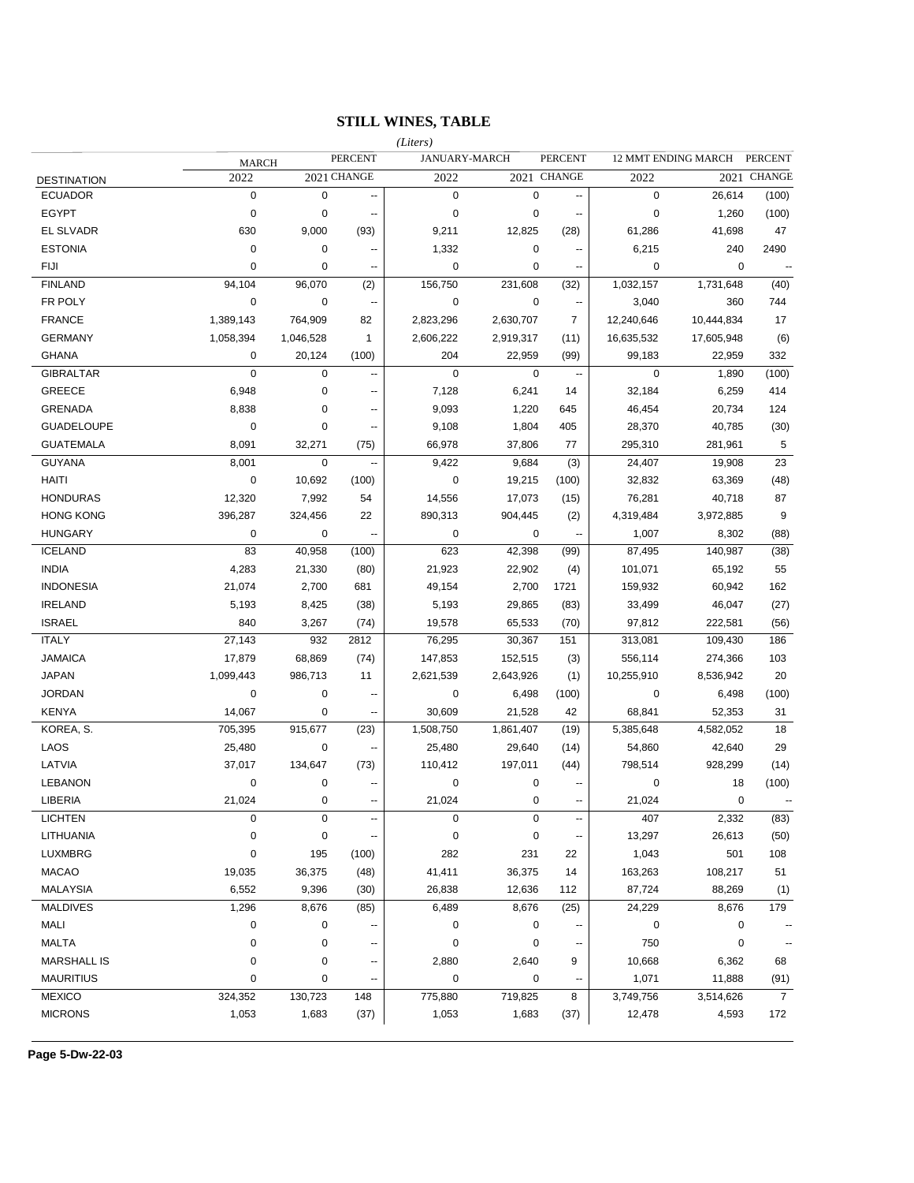## **STILL WINES, TABLE**

|                    |              |           |                          | (Liters)    |                      |                          |             |                     |                |
|--------------------|--------------|-----------|--------------------------|-------------|----------------------|--------------------------|-------------|---------------------|----------------|
|                    | <b>MARCH</b> |           | <b>PERCENT</b>           |             | <b>JANUARY-MARCH</b> | <b>PERCENT</b>           |             | 12 MMT ENDING MARCH | <b>PERCENT</b> |
| <b>DESTINATION</b> | 2022         |           | 2021 CHANGE              | 2022        |                      | 2021 CHANGE              | 2022        |                     | 2021 CHANGE    |
| <b>ECUADOR</b>     | $\mathbf 0$  | 0         | --                       | $\mathbf 0$ | 0                    | ۰.                       | $\mathbf 0$ | 26,614              | (100)          |
| <b>EGYPT</b>       | $\mathbf 0$  | 0         | --                       | $\mathbf 0$ | 0                    | $\overline{\phantom{a}}$ | $\mathbf 0$ | 1,260               | (100)          |
| EL SLVADR          | 630          | 9,000     | (93)                     | 9,211       | 12,825               | (28)                     | 61,286      | 41,698              | 47             |
| <b>ESTONIA</b>     | $\mathbf 0$  | 0         | --                       | 1,332       | 0                    | $\sim$                   | 6,215       | 240                 | 2490           |
| <b>FIJI</b>        | 0            | 0         | $\overline{a}$           | $\mathbf 0$ | 0                    | $\sim$                   | $\mathbf 0$ | $\mathbf 0$         | $\ddotsc$      |
| <b>FINLAND</b>     | 94,104       | 96,070    | (2)                      | 156,750     | 231,608              | (32)                     | 1,032,157   | 1,731,648           | (40)           |
| FR POLY            | $\mathbf 0$  | 0         | $\overline{\phantom{a}}$ | $\mathbf 0$ | $\mathbf 0$          | $\sim$                   | 3,040       | 360                 | 744            |
| <b>FRANCE</b>      | 1,389,143    | 764,909   | 82                       | 2,823,296   | 2,630,707            | $\overline{7}$           | 12,240,646  | 10,444,834          | 17             |
| <b>GERMANY</b>     | 1,058,394    | 1,046,528 | $\mathbf{1}$             | 2,606,222   | 2,919,317            | (11)                     | 16,635,532  | 17,605,948          | (6)            |
| <b>GHANA</b>       | 0            | 20,124    | (100)                    | 204         | 22,959               | (99)                     | 99,183      | 22,959              | 332            |
| <b>GIBRALTAR</b>   | $\mathbf 0$  | 0         | --                       | $\mathbf 0$ | $\mathbf 0$          | $\sim$                   | $\mathbf 0$ | 1,890               | (100)          |
| GREECE             | 6,948        | 0         | $\overline{\phantom{a}}$ | 7,128       | 6,241                | 14                       | 32,184      | 6,259               | 414            |
| <b>GRENADA</b>     | 8,838        | 0         | --                       | 9,093       | 1,220                | 645                      | 46,454      | 20,734              | 124            |
| <b>GUADELOUPE</b>  | 0            | 0         | --                       | 9,108       | 1,804                | 405                      | 28,370      | 40,785              | (30)           |
| <b>GUATEMALA</b>   | 8,091        | 32,271    | (75)                     | 66,978      | 37,806               | 77                       | 295,310     | 281,961             | $\sqrt{5}$     |
| <b>GUYANA</b>      | 8,001        | 0         |                          | 9,422       | 9,684                | (3)                      | 24,407      | 19,908              | 23             |
| HAITI              | $\mathbf 0$  | 10,692    | (100)                    | $\mathbf 0$ | 19,215               | (100)                    | 32,832      | 63,369              | (48)           |
| <b>HONDURAS</b>    | 12,320       | 7,992     | 54                       | 14,556      | 17,073               | (15)                     | 76,281      | 40,718              | 87             |
| <b>HONG KONG</b>   | 396,287      | 324,456   | 22                       | 890,313     | 904,445              | (2)                      | 4,319,484   | 3,972,885           | 9              |
| <b>HUNGARY</b>     | $\mathbf 0$  | 0         | $\ddotsc$                | $\mathbf 0$ | 0                    | $\mathbb{Z}^2$           | 1,007       | 8,302               | (88)           |
| <b>ICELAND</b>     | 83           | 40,958    | (100)                    | 623         | 42,398               | (99)                     | 87,495      | 140,987             | (38)           |
| <b>INDIA</b>       | 4,283        | 21,330    | (80)                     | 21,923      | 22,902               | (4)                      | 101,071     | 65,192              | 55             |
| <b>INDONESIA</b>   | 21,074       | 2,700     | 681                      | 49,154      | 2,700                | 1721                     | 159,932     | 60,942              | 162            |
| <b>IRELAND</b>     | 5,193        | 8,425     | (38)                     | 5,193       | 29,865               | (83)                     | 33,499      | 46,047              | (27)           |
| <b>ISRAEL</b>      | 840          | 3,267     | (74)                     | 19,578      | 65,533               | (70)                     | 97,812      | 222,581             | (56)           |
| <b>ITALY</b>       | 27,143       | 932       | 2812                     | 76,295      | 30,367               | 151                      | 313,081     | 109,430             | 186            |
| <b>JAMAICA</b>     | 17,879       | 68,869    | (74)                     | 147,853     | 152,515              | (3)                      | 556,114     | 274,366             | 103            |
| <b>JAPAN</b>       | 1,099,443    | 986,713   | 11                       | 2,621,539   | 2,643,926            | (1)                      | 10,255,910  | 8,536,942           | 20             |
| <b>JORDAN</b>      | $\mathbf 0$  | 0         | --                       | $\mathbf 0$ | 6,498                | (100)                    | $\mathbf 0$ | 6,498               | (100)          |
| <b>KENYA</b>       | 14,067       | 0         | --                       | 30,609      | 21,528               | 42                       | 68,841      | 52,353              | 31             |
| KOREA, S.          | 705,395      | 915,677   | (23)                     | 1,508,750   | 1,861,407            | (19)                     | 5,385,648   | 4,582,052           | 18             |
| LAOS               | 25,480       | 0         | --                       | 25,480      | 29,640               | (14)                     | 54,860      | 42,640              | 29             |
| LATVIA             | 37,017       | 134,647   | (73)                     | 110,412     | 197,011              | (44)                     | 798,514     | 928,299             | (14)           |
| <b>LEBANON</b>     | 0            | 0         | --                       | $\mathbf 0$ | 0                    |                          | 0           | 18                  | (100)          |
| LIBERIA            | 21,024       | $\Omega$  |                          | 21,024      | $\Omega$             |                          | 21,024      | 0                   |                |
| <b>LICHTEN</b>     | 0            | 0         | $\overline{\phantom{a}}$ | $\pmb{0}$   | 0                    | $\overline{a}$           | 407         | 2,332               | (83)           |
| LITHUANIA          | 0            | 0         |                          | $\pmb{0}$   | 0                    |                          | 13,297      | 26,613              | (50)           |
| LUXMBRG            | 0            | 195       | (100)                    | 282         | 231                  | 22                       | 1,043       | 501                 | 108            |
| <b>MACAO</b>       | 19,035       | 36,375    | (48)                     | 41,411      | 36,375               | 14                       | 163,263     | 108,217             | 51             |
| <b>MALAYSIA</b>    | 6,552        | 9,396     | (30)                     | 26,838      | 12,636               | 112                      | 87,724      | 88,269              | (1)            |
| <b>MALDIVES</b>    | 1,296        | 8,676     | (85)                     | 6,489       | 8,676                | (25)                     | 24,229      | 8,676               | 179            |
| MALI               | 0            | 0         |                          | 0           | 0                    |                          | 0           | 0                   |                |
| <b>MALTA</b>       | 0            | 0         |                          | 0           | 0                    |                          | 750         | 0                   |                |
| <b>MARSHALL IS</b> | 0            | 0         |                          | 2,880       | 2,640                | 9                        | 10,668      | 6,362               | 68             |
| <b>MAURITIUS</b>   | 0            | 0         |                          | $\pmb{0}$   | 0                    |                          | 1,071       | 11,888              | (91)           |
| <b>MEXICO</b>      | 324,352      | 130,723   | 148                      | 775,880     | 719,825              | 8                        | 3,749,756   | 3,514,626           | $\overline{7}$ |
| <b>MICRONS</b>     | 1,053        | 1,683     | (37)                     | 1,053       | 1,683                | (37)                     | 12,478      | 4,593               | 172            |
|                    |              |           |                          |             |                      |                          |             |                     |                |

**Page 5-Dw-22-03**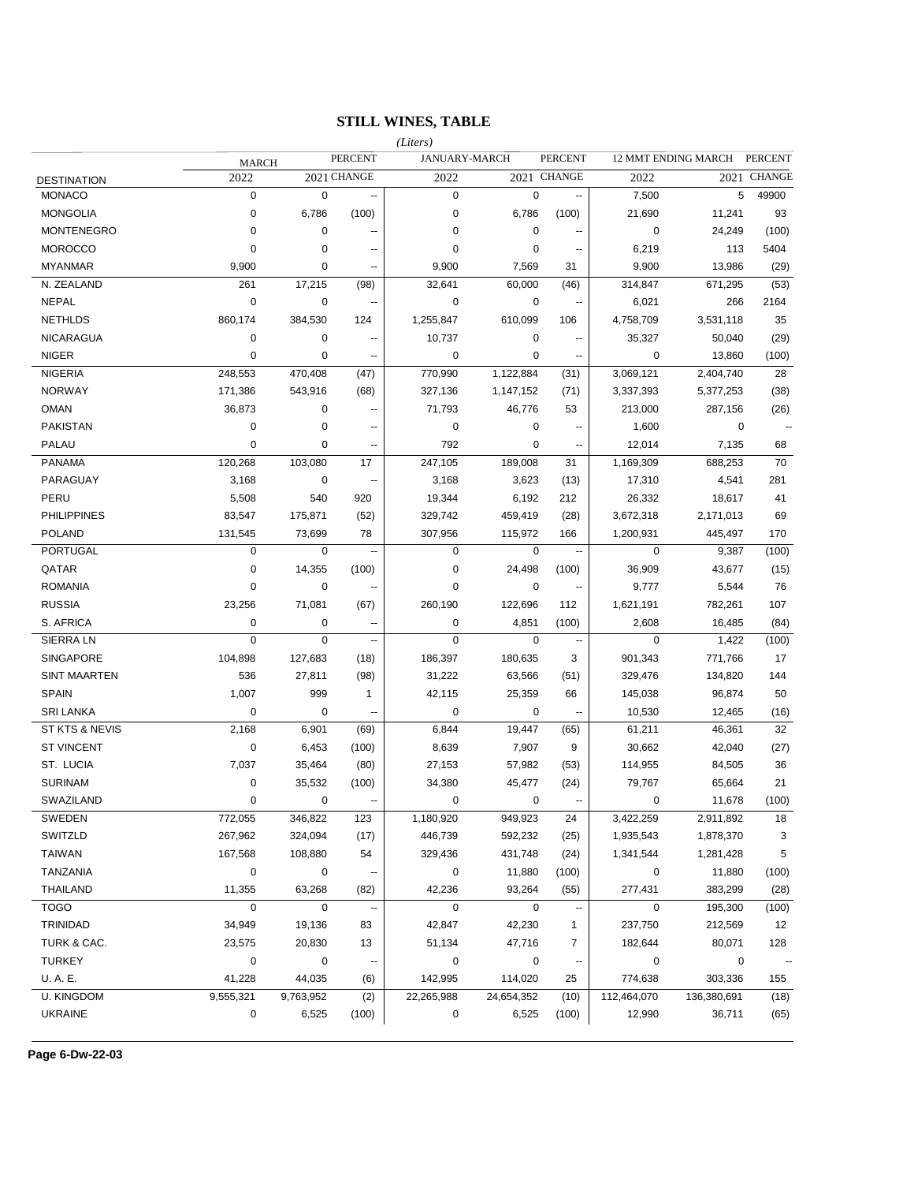# **STILL WINES, TABLE**

|                     |              |             |                          | (Liters)      |             |                          |             |                     |                      |
|---------------------|--------------|-------------|--------------------------|---------------|-------------|--------------------------|-------------|---------------------|----------------------|
|                     | <b>MARCH</b> |             | <b>PERCENT</b>           | JANUARY-MARCH |             | <b>PERCENT</b>           |             | 12 MMT ENDING MARCH | <b>PERCENT</b>       |
| <b>DESTINATION</b>  | 2022         |             | 2021 CHANGE              | 2022          |             | 2021 CHANGE              | 2022        |                     | 2021 CHANGE          |
| <b>MONACO</b>       | $\mathbf 0$  | $\mathbf 0$ | --                       | $\mathbf 0$   | $\pmb{0}$   |                          | 7,500       | 5                   | 49900                |
| <b>MONGOLIA</b>     | 0            | 6,786       | (100)                    | $\mathbf 0$   | 6,786       | (100)                    | 21,690      | 11,241              | 93                   |
| <b>MONTENEGRO</b>   | 0            | 0           | ٠.                       | $\mathbf 0$   | 0           |                          | 0           | 24,249              | (100)                |
| <b>MOROCCO</b>      | 0            | 0           | --                       | $\mathbf 0$   | 0           |                          | 6,219       | 113                 | 5404                 |
| <b>MYANMAR</b>      | 9,900        | 0           | --                       | 9,900         | 7,569       | 31                       | 9,900       | 13,986              | (29)                 |
| N. ZEALAND          | 261          | 17,215      | (98)                     | 32,641        | 60,000      | (46)                     | 314,847     | 671,295             | (53)                 |
| NEPAL               | 0            | 0           | ٠.                       | 0             | 0           |                          | 6,021       | 266                 | 2164                 |
| <b>NETHLDS</b>      | 860,174      | 384,530     | 124                      | 1,255,847     | 610,099     | 106                      | 4,758,709   | 3,531,118           | 35                   |
| NICARAGUA           | 0            | 0           | $\overline{\phantom{a}}$ | 10,737        | 0           |                          | 35,327      | 50,040              | (29)                 |
| <b>NIGER</b>        | 0            | 0           | ٠.                       | 0             | 0           |                          | 0           | 13,860              | (100)                |
| <b>NIGERIA</b>      | 248,553      | 470,408     | (47)                     | 770,990       | 1,122,884   | (31)                     | 3,069,121   | 2,404,740           | 28                   |
| <b>NORWAY</b>       | 171,386      | 543,916     | (68)                     | 327,136       | 1,147,152   | (71)                     | 3,337,393   | 5,377,253           | (38)                 |
| <b>OMAN</b>         | 36,873       | 0           | ٠.                       | 71,793        | 46,776      | 53                       | 213,000     | 287,156             | (26)                 |
| <b>PAKISTAN</b>     | 0            | 0           | ٠.                       | 0             | 0           |                          | 1,600       | 0                   |                      |
| PALAU               | $\mathbf 0$  | 0           | ٠.                       | 792           | 0           |                          | 12,014      | 7,135               | 68                   |
| <b>PANAMA</b>       | 120,268      | 103,080     | 17                       | 247,105       | 189,008     | 31                       | 1,169,309   | 688,253             | 70                   |
| PARAGUAY            | 3,168        | 0           | --                       | 3,168         | 3,623       | (13)                     | 17,310      | 4,541               | 281                  |
| PERU                | 5,508        | 540         | 920                      | 19,344        | 6,192       | 212                      | 26,332      | 18,617              | 41                   |
| <b>PHILIPPINES</b>  | 83,547       | 175,871     | (52)                     | 329,742       | 459,419     | (28)                     | 3,672,318   | 2,171,013           | 69                   |
| <b>POLAND</b>       | 131,545      | 73,699      | 78                       | 307,956       | 115,972     | 166                      | 1,200,931   | 445,497             | 170                  |
| <b>PORTUGAL</b>     | $\mathbf 0$  | 0           | $\ddotsc$                | $\mathbf 0$   | $\mathbf 0$ | $\overline{\phantom{a}}$ | 0           | 9,387               | (100)                |
| QATAR               | 0            | 14,355      | (100)                    | $\pmb{0}$     | 24,498      | (100)                    | 36,909      | 43,677              | (15)                 |
| <b>ROMANIA</b>      | 0            | 0           | ٠.                       | $\mathbf 0$   | 0           | $\overline{\phantom{a}}$ | 9,777       | 5,544               | 76                   |
| <b>RUSSIA</b>       | 23,256       | 71,081      | (67)                     | 260,190       | 122,696     | 112                      | 1,621,191   | 782,261             | 107                  |
| S. AFRICA           | 0            | 0           | $\overline{\phantom{a}}$ | $\mathbf 0$   | 4,851       | (100)                    | 2,608       | 16,485              | (84)                 |
| SIERRA LN           | $\mathbf 0$  | 0           | --                       | $\mathbf 0$   | $\mathbf 0$ | $\overline{\phantom{a}}$ | $\mathbf 0$ | 1,422               | (100)                |
| <b>SINGAPORE</b>    | 104,898      | 127,683     | (18)                     | 186,397       | 180,635     | 3                        | 901,343     | 771,766             | 17                   |
| <b>SINT MAARTEN</b> | 536          | 27,811      | (98)                     | 31,222        | 63,566      | (51)                     | 329,476     | 134,820             | 144                  |
| <b>SPAIN</b>        | 1,007        | 999         | $\mathbf{1}$             | 42,115        | 25,359      | 66                       | 145,038     | 96,874              | 50                   |
| <b>SRI LANKA</b>    | 0            | 0           | $\overline{a}$           | 0             | 0           |                          | 10,530      | 12,465              | (16)                 |
| ST KTS & NEVIS      | 2,168        | 6,901       | (69)                     | 6,844         | 19,447      | (65)                     | 61,211      | 46,361              | 32                   |
| <b>ST VINCENT</b>   | 0            | 6,453       | (100)                    | 8,639         | 7,907       | 9                        | 30,662      | 42,040              | (27)                 |
| ST. LUCIA           | 7,037        | 35,464      | (80)                     | 27,153        | 57,982      | (53)                     | 114,955     | 84,505              | 36                   |
| <b>SURINAM</b>      | 0            | 35,532      | (100)                    | 34,380        | 45,477      | (24)                     | 79,767      | 65,664              | 21                   |
| SWAZILAND           | $\mathbf 0$  | 0           | --                       | 0             | 0           | $\overline{\phantom{a}}$ | $\mathbf 0$ | 11,678              | (100)                |
| SWEDEN              | 772,055      | 346,822     | 123                      | 1,180,920     | 949,923     | 24                       | 3,422,259   | 2,911,892           | 18                   |
| SWITZLD             | 267,962      | 324,094     | (17)                     | 446,739       | 592,232     | (25)                     | 1,935,543   | 1,878,370           | 3                    |
| <b>TAIWAN</b>       | 167,568      | 108,880     | 54                       | 329,436       | 431,748     | (24)                     | 1,341,544   | 1,281,428           | $\sqrt{5}$           |
| <b>TANZANIA</b>     | $\pmb{0}$    | 0           |                          | $\pmb{0}$     | 11,880      | (100)                    | 0           | 11,880              | (100)                |
| <b>THAILAND</b>     | 11,355       | 63,268      | (82)                     | 42,236        | 93,264      | (55)                     | 277,431     | 383,299             | (28)                 |
| <b>TOGO</b>         | 0            | 0           |                          | $\mathbf 0$   | $\mathbf 0$ |                          | $\mathbf 0$ | 195,300             | (100)                |
| TRINIDAD            | 34,949       | 19,136      | 83                       | 42,847        | 42,230      | 1                        | 237,750     | 212,569             | 12                   |
| TURK & CAC.         | 23,575       | 20,830      | 13                       | 51,134        | 47,716      | 7                        | 182,644     | 80,071              | 128                  |
| <b>TURKEY</b>       | 0            | 0           |                          | 0             | $\pmb{0}$   |                          | 0           | 0                   | $\ddot{\phantom{0}}$ |
| U.A.E.              | 41,228       | 44,035      | (6)                      | 142,995       | 114,020     | 25                       | 774,638     | 303,336             | 155                  |
| <b>U. KINGDOM</b>   | 9,555,321    | 9,763,952   | (2)                      | 22,265,988    | 24,654,352  | (10)                     | 112,464,070 | 136,380,691         | (18)                 |
| <b>UKRAINE</b>      | 0            | 6,525       | (100)                    | 0             | 6,525       | (100)                    | 12,990      | 36,711              | (65)                 |
|                     |              |             |                          |               |             |                          |             |                     |                      |

**Page 6-Dw-22-03**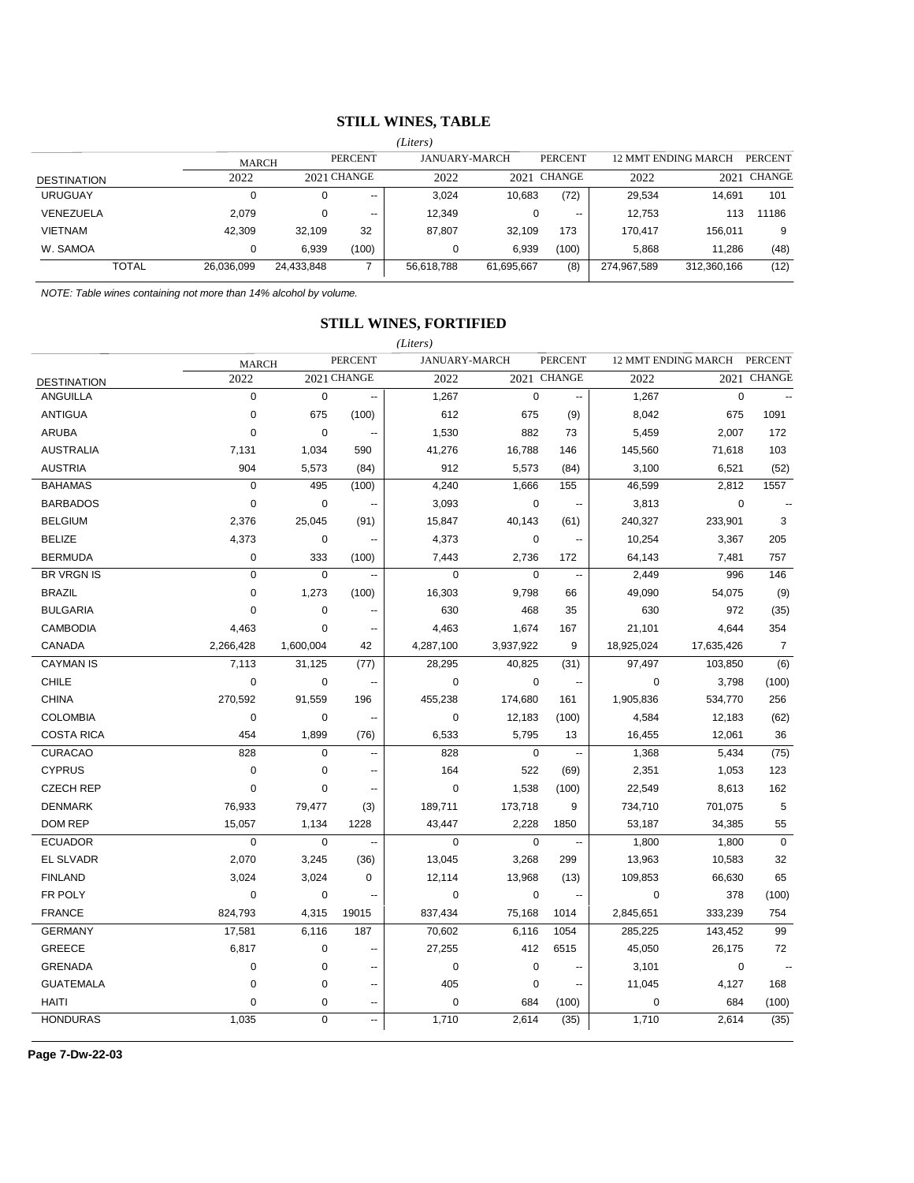### **STILL WINES, TABLE**

|                    |              | (Liters)   |             |            |                      |                |             |                     |                |
|--------------------|--------------|------------|-------------|------------|----------------------|----------------|-------------|---------------------|----------------|
|                    | <b>MARCH</b> |            | PERCENT     |            | <b>JANUARY-MARCH</b> | <b>PERCENT</b> |             | 12 MMT ENDING MARCH | <b>PERCENT</b> |
| <b>DESTINATION</b> | 2022         |            | 2021 CHANGE | 2022       |                      | 2021 CHANGE    | 2022        | 2021                | CHANGE         |
| <b>URUGUAY</b>     | 0            | 0          | $- -$       | 3.024      | 10,683               | (72)           | 29,534      | 14.691              | 101            |
| VENEZUELA          | 2.079        | 0          | --          | 12.349     |                      | $- -$          | 12.753      | 113                 | 11186          |
| <b>VIETNAM</b>     | 42,309       | 32,109     | 32          | 87,807     | 32,109               | 173            | 170.417     | 156.011             | 9              |
| W. SAMOA           | 0            | 6,939      | (100)       |            | 6,939                | (100)          | 5.868       | 11.286              | (48)           |
| <b>TOTAL</b>       | 26,036,099   | 24,433,848 |             | 56,618,788 | 61,695,667           | (8)            | 274,967,589 | 312,360,166         | (12)           |

*NOTE: Table wines containing not more than 14% alcohol by volume.*

## **STILL WINES, FORTIFIED**

*(Liters)*

|                    | <b>MARCH</b> |             | <b>PERCENT</b>           |             | <b>JANUARY-MARCH</b> | <b>PERCENT</b>           |             | 12 MMT ENDING MARCH | <b>PERCENT</b> |
|--------------------|--------------|-------------|--------------------------|-------------|----------------------|--------------------------|-------------|---------------------|----------------|
| <b>DESTINATION</b> | 2022         |             | 2021 CHANGE              | 2022        |                      | 2021 CHANGE              | 2022        |                     | 2021 CHANGE    |
| <b>ANGUILLA</b>    | $\mathbf 0$  | $\mathbf 0$ | $\overline{\phantom{a}}$ | 1,267       | $\mathbf 0$          | $\overline{\phantom{a}}$ | 1,267       | $\mathbf 0$         | $\mathbb{Z}^2$ |
| <b>ANTIGUA</b>     | 0            | 675         | (100)                    | 612         | 675                  | (9)                      | 8,042       | 675                 | 1091           |
| <b>ARUBA</b>       | $\mathbf 0$  | $\mathbf 0$ |                          | 1,530       | 882                  | 73                       | 5,459       | 2,007               | 172            |
| <b>AUSTRALIA</b>   | 7,131        | 1,034       | 590                      | 41,276      | 16,788               | 146                      | 145,560     | 71,618              | 103            |
| <b>AUSTRIA</b>     | 904          | 5,573       | (84)                     | 912         | 5,573                | (84)                     | 3,100       | 6,521               | (52)           |
| <b>BAHAMAS</b>     | $\pmb{0}$    | 495         | (100)                    | 4,240       | 1,666                | 155                      | 46,599      | 2,812               | 1557           |
| <b>BARBADOS</b>    | $\mathbf 0$  | $\pmb{0}$   | $\ddotsc$                | 3,093       | $\mathbf 0$          | $\sim$                   | 3,813       | $\mathbf 0$         |                |
| <b>BELGIUM</b>     | 2,376        | 25,045      | (91)                     | 15,847      | 40,143               | (61)                     | 240,327     | 233,901             | 3              |
| <b>BELIZE</b>      | 4,373        | $\pmb{0}$   | --                       | 4,373       | $\mathbf 0$          | --                       | 10,254      | 3,367               | 205            |
| <b>BERMUDA</b>     | $\pmb{0}$    | 333         | (100)                    | 7,443       | 2,736                | 172                      | 64,143      | 7,481               | 757            |
| <b>BR VRGN IS</b>  | $\mathbf 0$  | $\mathbf 0$ | $\ddotsc$                | $\mathbf 0$ | $\mathbf 0$          | --                       | 2,449       | 996                 | 146            |
| <b>BRAZIL</b>      | $\mathbf 0$  | 1,273       | (100)                    | 16,303      | 9,798                | 66                       | 49,090      | 54,075              | (9)            |
| <b>BULGARIA</b>    | $\mathbf 0$  | $\pmb{0}$   | --                       | 630         | 468                  | 35                       | 630         | 972                 | (35)           |
| <b>CAMBODIA</b>    | 4,463        | $\mathbf 0$ |                          | 4,463       | 1,674                | 167                      | 21,101      | 4,644               | 354            |
| CANADA             | 2,266,428    | 1,600,004   | 42                       | 4,287,100   | 3,937,922            | 9                        | 18,925,024  | 17,635,426          | $\overline{7}$ |
| <b>CAYMAN IS</b>   | 7,113        | 31,125      | (77)                     | 28,295      | 40,825               | (31)                     | 97,497      | 103,850             | (6)            |
| <b>CHILE</b>       | $\mathbf 0$  | 0           | $\ddotsc$                | $\mathbf 0$ | $\mathbf 0$          | $\overline{\phantom{a}}$ | $\mathbf 0$ | 3,798               | (100)          |
| <b>CHINA</b>       | 270,592      | 91,559      | 196                      | 455,238     | 174,680              | 161                      | 1,905,836   | 534,770             | 256            |
| <b>COLOMBIA</b>    | $\pmb{0}$    | $\pmb{0}$   | Ξ.                       | $\mathbf 0$ | 12,183               | (100)                    | 4,584       | 12,183              | (62)           |
| <b>COSTA RICA</b>  | 454          | 1,899       | (76)                     | 6,533       | 5,795                | 13                       | 16,455      | 12,061              | 36             |
| <b>CURACAO</b>     | 828          | $\pmb{0}$   | $\ddotsc$                | 828         | $\mathbf 0$          | $\ddotsc$                | 1,368       | 5,434               | (75)           |
| <b>CYPRUS</b>      | $\mathbf 0$  | $\mathbf 0$ | $\overline{a}$           | 164         | 522                  | (69)                     | 2,351       | 1,053               | 123            |
| <b>CZECH REP</b>   | $\mathbf 0$  | 0           | $\overline{\phantom{a}}$ | $\mathbf 0$ | 1,538                | (100)                    | 22,549      | 8,613               | 162            |
| <b>DENMARK</b>     | 76,933       | 79,477      | (3)                      | 189,711     | 173,718              | 9                        | 734,710     | 701,075             | 5              |
| <b>DOM REP</b>     | 15,057       | 1,134       | 1228                     | 43,447      | 2,228                | 1850                     | 53,187      | 34,385              | 55             |
| <b>ECUADOR</b>     | $\pmb{0}$    | $\mathsf 0$ | $\ddotsc$                | $\mathbf 0$ | $\mathbf 0$          | $\ddotsc$                | 1,800       | 1,800               | $\mathbf 0$    |
| <b>EL SLVADR</b>   | 2,070        | 3,245       | (36)                     | 13,045      | 3,268                | 299                      | 13,963      | 10,583              | 32             |
| <b>FINLAND</b>     | 3,024        | 3,024       | 0                        | 12,114      | 13,968               | (13)                     | 109,853     | 66,630              | 65             |
| FR POLY            | $\mathbf 0$  | $\mathbf 0$ | Ξ.                       | $\mathbf 0$ | $\mathbf 0$          | $\overline{\phantom{a}}$ | $\mathbf 0$ | 378                 | (100)          |
| <b>FRANCE</b>      | 824,793      | 4,315       | 19015                    | 837,434     | 75,168               | 1014                     | 2,845,651   | 333,239             | 754            |
| <b>GERMANY</b>     | 17,581       | 6,116       | 187                      | 70,602      | 6,116                | 1054                     | 285,225     | 143,452             | 99             |
| <b>GREECE</b>      | 6,817        | $\pmb{0}$   | ٠.                       | 27,255      | 412                  | 6515                     | 45,050      | 26,175              | 72             |
| <b>GRENADA</b>     | $\mathbf 0$  | $\pmb{0}$   | ä.                       | $\pmb{0}$   | $\pmb{0}$            |                          | 3,101       | $\mathbf 0$         |                |
| <b>GUATEMALA</b>   | $\mathbf 0$  | $\mathbf 0$ | $\overline{a}$           | 405         | $\mathbf 0$          | --                       | 11,045      | 4,127               | 168            |
| <b>HAITI</b>       | $\mathbf 0$  | $\pmb{0}$   |                          | $\mathbf 0$ | 684                  | (100)                    | $\mathbf 0$ | 684                 | (100)          |
| <b>HONDURAS</b>    | 1,035        | $\mathbf 0$ | ÷.                       | 1,710       | 2,614                | (35)                     | 1,710       | 2,614               | (35)           |

**Page 7-Dw-22-03**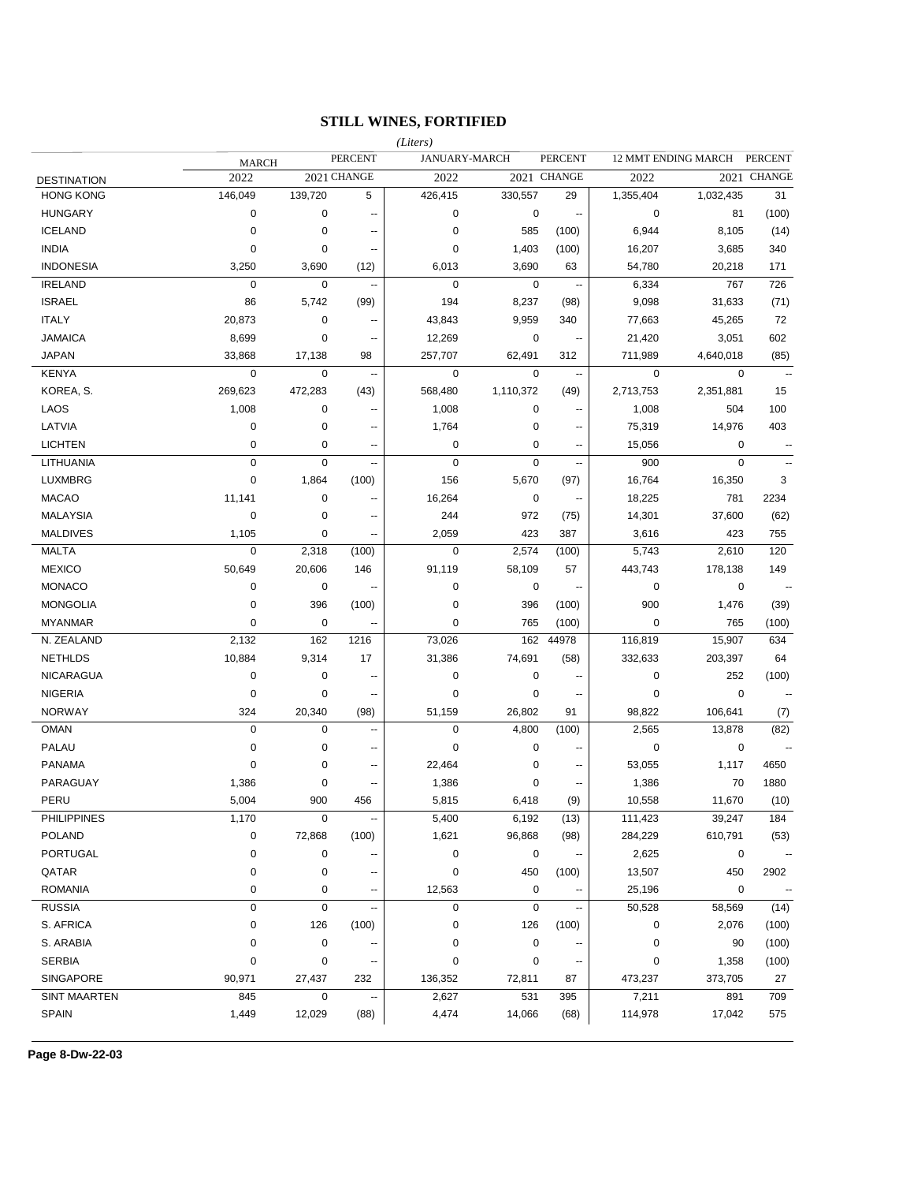## **STILL WINES, FORTIFIED**

|                    |              |             |                          | (Liters)    |               |                          |             |                     |                          |
|--------------------|--------------|-------------|--------------------------|-------------|---------------|--------------------------|-------------|---------------------|--------------------------|
|                    | <b>MARCH</b> |             | <b>PERCENT</b>           |             | JANUARY-MARCH | <b>PERCENT</b>           |             | 12 MMT ENDING MARCH | <b>PERCENT</b>           |
| <b>DESTINATION</b> | 2022         |             | 2021 CHANGE              | 2022        |               | 2021 CHANGE              | 2022        |                     | 2021 CHANGE              |
| <b>HONG KONG</b>   | 146,049      | 139,720     | 5                        | 426,415     | 330,557       | 29                       | 1,355,404   | 1,032,435           | 31                       |
| <b>HUNGARY</b>     | 0            | 0           | $\overline{\phantom{a}}$ | $\mathbf 0$ | $\mathbf 0$   | $\overline{\phantom{a}}$ | 0           | 81                  | (100)                    |
| <b>ICELAND</b>     | 0            | 0           | --                       | $\mathbf 0$ | 585           | (100)                    | 6,944       | 8,105               | (14)                     |
| <b>INDIA</b>       | 0            | 0           | --                       | $\mathbf 0$ | 1,403         | (100)                    | 16,207      | 3,685               | 340                      |
| <b>INDONESIA</b>   | 3,250        | 3,690       | (12)                     | 6,013       | 3,690         | 63                       | 54,780      | 20,218              | 171                      |
| <b>IRELAND</b>     | $\mathbf 0$  | 0           | --                       | $\mathbf 0$ | $\mathbf 0$   | $\sim$                   | 6,334       | 767                 | 726                      |
| <b>ISRAEL</b>      | 86           | 5,742       | (99)                     | 194         | 8,237         | (98)                     | 9,098       | 31,633              | (71)                     |
| <b>ITALY</b>       | 20,873       | 0           | --                       | 43,843      | 9,959         | 340                      | 77,663      | 45,265              | 72                       |
| <b>JAMAICA</b>     | 8,699        | 0           | --                       | 12,269      | 0             | $\ddot{\phantom{1}}$     | 21,420      | 3,051               | 602                      |
| <b>JAPAN</b>       | 33,868       | 17,138      | 98                       | 257,707     | 62,491        | 312                      | 711,989     | 4,640,018           | (85)                     |
| KENYA              | $\mathbf 0$  | 0           | $\sim$                   | $\mathbf 0$ | 0             | $\sim$                   | 0           | 0                   |                          |
| KOREA, S.          | 269,623      | 472,283     | (43)                     | 568,480     | 1,110,372     | (49)                     | 2,713,753   | 2,351,881           | 15                       |
| LAOS               | 1,008        | 0           | ٠.                       | 1,008       | 0             | $\sim$                   | 1,008       | 504                 | 100                      |
| LATVIA             | 0            | 0           | --                       | 1,764       | 0             | $\sim$                   | 75,319      | 14,976              | 403                      |
| <b>LICHTEN</b>     | 0            | 0           | --                       | $\mathbf 0$ | $\pmb{0}$     | $\sim$                   | 15,056      | 0                   |                          |
| LITHUANIA          | $\pmb{0}$    | $\mathbf 0$ | --                       | $\mathbf 0$ | $\mathbf 0$   | $\sim$                   | 900         | $\pmb{0}$           |                          |
| <b>LUXMBRG</b>     | 0            | 1,864       | (100)                    | 156         | 5,670         | (97)                     | 16,764      | 16,350              | 3                        |
| <b>MACAO</b>       | 11,141       | $\mathbf 0$ |                          | 16,264      | 0             | $\sim$                   | 18,225      | 781                 | 2234                     |
| <b>MALAYSIA</b>    | $\mathbf 0$  | $\mathbf 0$ | ٠.                       | 244         | 972           | (75)                     | 14,301      | 37,600              | (62)                     |
| <b>MALDIVES</b>    | 1,105        | $\mathbf 0$ | --                       | 2,059       | 423           | 387                      | 3,616       | 423                 | 755                      |
| <b>MALTA</b>       | $\mathbf 0$  | 2,318       | (100)                    | $\mathbf 0$ | 2,574         | (100)                    | 5,743       | 2,610               | 120                      |
| <b>MEXICO</b>      | 50,649       | 20,606      | 146                      | 91,119      | 58,109        | 57                       | 443,743     | 178,138             | 149                      |
| <b>MONACO</b>      | 0            | $\mathbf 0$ | ۰.                       | $\mathbf 0$ | 0             | $\sim$                   | $\mathbf 0$ | 0                   | $\sim$                   |
| <b>MONGOLIA</b>    | 0            | 396         | (100)                    | $\mathbf 0$ | 396           | (100)                    | 900         | 1,476               | (39)                     |
| <b>MYANMAR</b>     | 0            | $\mathbf 0$ | ٠.                       | 0           | 765           | (100)                    | $\mathbf 0$ | 765                 | (100)                    |
| N. ZEALAND         | 2,132        | 162         | 1216                     | 73,026      | 162           | 44978                    | 116,819     | 15,907              | 634                      |
| <b>NETHLDS</b>     | 10,884       | 9,314       | 17                       | 31,386      | 74,691        | (58)                     | 332,633     | 203,397             | 64                       |
| <b>NICARAGUA</b>   | 0            | 0           | --                       | $\pmb{0}$   | 0             |                          | 0           | 252                 | (100)                    |
| <b>NIGERIA</b>     | $\mathbf 0$  | 0           | $\overline{\phantom{a}}$ | 0           | $\pmb{0}$     | $\overline{a}$           | 0           | 0                   | $\mathbf{L}$             |
| <b>NORWAY</b>      | 324          | 20,340      | (98)                     | 51,159      | 26,802        | 91                       | 98,822      | 106,641             | (7)                      |
| <b>OMAN</b>        | $\mathbf 0$  | $\mathbf 0$ | --                       | $\mathbf 0$ | 4,800         | (100)                    | 2,565       | 13,878              | (82)                     |
| <b>PALAU</b>       | 0            | $\mathbf 0$ | --                       | 0           | $\mathbf 0$   | --                       | $\mathbf 0$ | 0                   |                          |
| <b>PANAMA</b>      | 0            | 0           | $\overline{\phantom{a}}$ | 22,464      | 0             | $\sim$                   | 53,055      | 1,117               | 4650                     |
| PARAGUAY           | 1,386        | 0           | --                       | 1,386       | 0             | $\sim$                   | 1,386       | 70                  | 1880                     |
| PERU               | 5,004        | 900         | 456                      | 5,815       | 6,418         | (9)                      | 10,558      | 11,670              | (10)                     |
| <b>PHILIPPINES</b> | 1,170        | 0           | --                       | 5,400       | 6,192         | (13)                     | 111,423     | 39,247              | 184                      |
| <b>POLAND</b>      | $\pmb{0}$    | 72,868      | (100)                    | 1,621       | 96,868        | (98)                     | 284,229     | 610,791             | (53)                     |
| <b>PORTUGAL</b>    | 0            | $\pmb{0}$   |                          | 0           | $\pmb{0}$     | $\ddotsc$                | 2,625       | 0                   | $\overline{\phantom{a}}$ |
| QATAR              | 0            | $\pmb{0}$   |                          | $\pmb{0}$   | 450           | (100)                    | 13,507      | 450                 | 2902                     |
| <b>ROMANIA</b>     | 0            | $\pmb{0}$   |                          | 12,563      | $\pmb{0}$     |                          | 25,196      | $\mathbf 0$         | $\overline{\phantom{a}}$ |
| <b>RUSSIA</b>      | 0            | $\mathbf 0$ |                          | 0           | $\mathbf 0$   |                          | 50,528      | 58,569              | (14)                     |
| S. AFRICA          | 0            | 126         | (100)                    | $\pmb{0}$   | 126           | (100)                    | $\pmb{0}$   | 2,076               | (100)                    |
| S. ARABIA          | 0            | $\pmb{0}$   |                          | $\pmb{0}$   | $\pmb{0}$     |                          | $\mathbf 0$ | 90                  | (100)                    |
| <b>SERBIA</b>      | 0            | $\pmb{0}$   |                          | $\pmb{0}$   | $\pmb{0}$     | $\overline{\phantom{a}}$ | 0           | 1,358               | (100)                    |
| SINGAPORE          | 90,971       | 27,437      | 232                      | 136,352     | 72,811        | 87                       | 473,237     | 373,705             | 27                       |
| SINT MAARTEN       | 845          | 0           | ۰.                       | 2,627       | 531           | 395                      | 7,211       | 891                 | 709                      |
| <b>SPAIN</b>       | 1,449        | 12,029      | (88)                     | 4,474       | 14,066        | (68)                     | 114,978     | 17,042              | 575                      |
|                    |              |             |                          |             |               |                          |             |                     |                          |

**Page 8-Dw-22-03**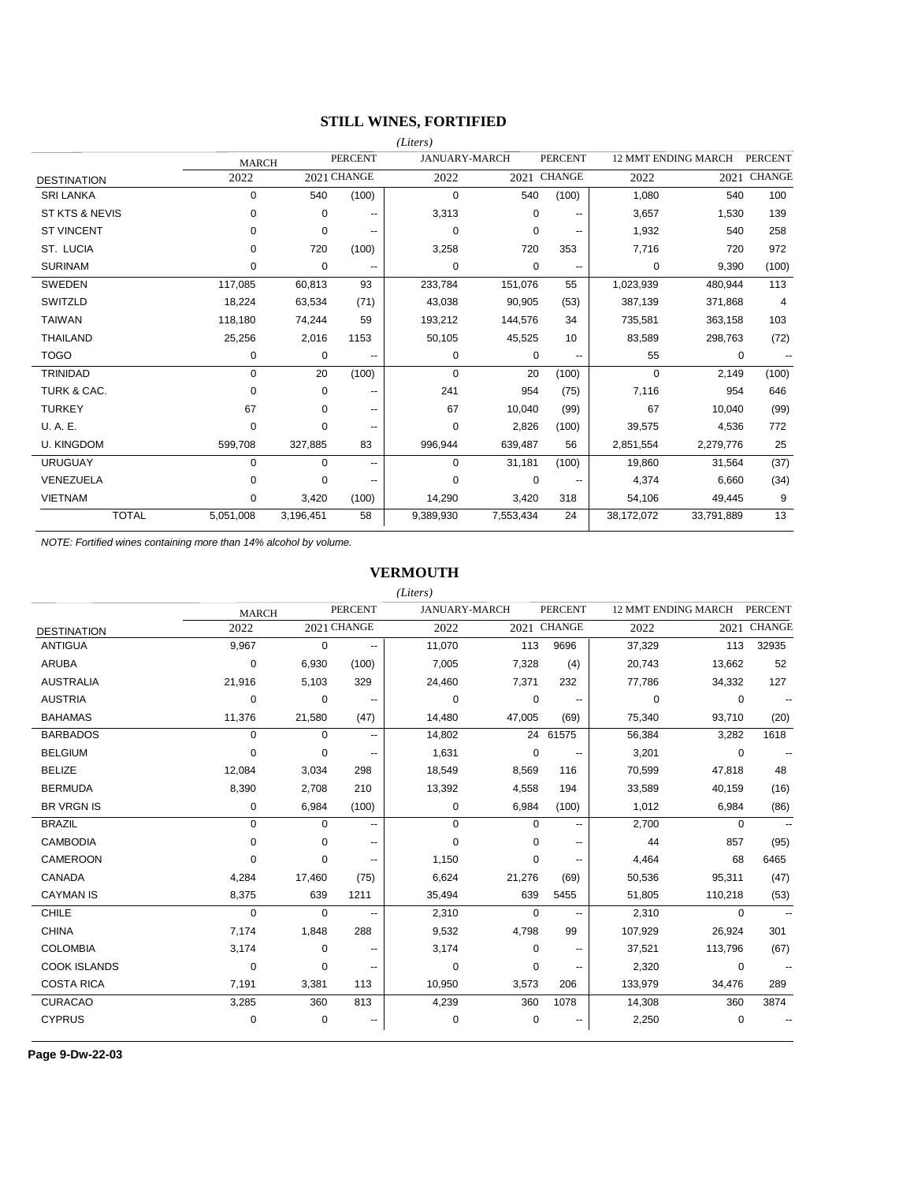# **STILL WINES, FORTIFIED**

|                        |              |             |                          | (Liters)    |                      |                                      |            |                     |                |
|------------------------|--------------|-------------|--------------------------|-------------|----------------------|--------------------------------------|------------|---------------------|----------------|
|                        | <b>MARCH</b> |             | <b>PERCENT</b>           |             | <b>JANUARY-MARCH</b> | <b>PERCENT</b>                       |            | 12 MMT ENDING MARCH | <b>PERCENT</b> |
| <b>DESTINATION</b>     | 2022         |             | 2021 CHANGE              | 2022        |                      | 2021 CHANGE                          | 2022       | 2021                | <b>CHANGE</b>  |
| <b>SRI LANKA</b>       | 0            | 540         | (100)                    | $\mathbf 0$ | 540                  | (100)                                | 1,080      | 540                 | 100            |
| ST KTS & NEVIS         | 0            | 0           | --                       | 3,313       |                      | $\Omega$<br>$\overline{\phantom{m}}$ | 3,657      | 1,530               | 139            |
| <b>ST VINCENT</b>      | 0            | $\mathbf 0$ | --                       | $\mathbf 0$ |                      | 0<br>$\overline{\phantom{a}}$        | 1,932      | 540                 | 258            |
| ST. LUCIA              | 0            | 720         | (100)                    | 3,258       | 720                  | 353                                  | 7,716      | 720                 | 972            |
| <b>SURINAM</b>         | 0            | 0           | --                       | $\mathbf 0$ |                      | 0<br>$\overline{\phantom{m}}$        | 0          | 9,390               | (100)          |
| <b>SWEDEN</b>          | 117,085      | 60,813      | 93                       | 233,784     | 151,076              | 55                                   | 1,023,939  | 480,944             | 113            |
| SWITZLD                | 18,224       | 63,534      | (71)                     | 43,038      | 90,905               | (53)                                 | 387,139    | 371,868             | $\overline{4}$ |
| <b>TAIWAN</b>          | 118.180      | 74,244      | 59                       | 193,212     | 144,576              | 34                                   | 735,581    | 363,158             | 103            |
| <b>THAILAND</b>        | 25,256       | 2,016       | 1153                     | 50,105      | 45,525               | 10                                   | 83,589     | 298,763             | (72)           |
| <b>TOGO</b>            | 0            | 0           | $\overline{\phantom{a}}$ | 0           |                      | 0<br>$\overline{\phantom{a}}$        | 55         | 0                   |                |
| <b>TRINIDAD</b>        | 0            | 20          | (100)                    | $\mathbf 0$ | 20                   | (100)                                | $\Omega$   | 2,149               | (100)          |
| <b>TURK &amp; CAC.</b> | $\Omega$     | $\mathbf 0$ | --                       | 241         | 954                  | (75)                                 | 7,116      | 954                 | 646            |
| <b>TURKEY</b>          | 67           | 0           | --                       | 67          | 10,040               | (99)                                 | 67         | 10.040              | (99)           |
| U. A. E.               | $\Omega$     | $\Omega$    | --                       | $\Omega$    | 2,826                | (100)                                | 39,575     | 4,536               | 772            |
| <b>U. KINGDOM</b>      | 599,708      | 327,885     | 83                       | 996,944     | 639,487              | 56                                   | 2,851,554  | 2,279,776           | 25             |
| <b>URUGUAY</b>         | 0            | $\Omega$    | ۰.                       | $\mathbf 0$ | 31,181               | (100)                                | 19,860     | 31,564              | (37)           |
| VENEZUELA              | 0            | $\Omega$    | --                       | $\Omega$    |                      | 0                                    | 4,374      | 6,660               | (34)           |
| <b>VIETNAM</b>         | 0            | 3,420       | (100)                    | 14,290      | 3,420                | 318                                  | 54,106     | 49,445              | 9              |
| <b>TOTAL</b>           | 5,051,008    | 3,196,451   | 58                       | 9,389,930   | 7,553,434            | 24                                   | 38,172,072 | 33,791,889          | 13             |

*NOTE: Fortified wines containing more than 14% alcohol by volume.*

### **VERMOUTH**

|                     |              |             |                          | (Liters)             |          |                          |         |                            |                |
|---------------------|--------------|-------------|--------------------------|----------------------|----------|--------------------------|---------|----------------------------|----------------|
|                     | <b>MARCH</b> |             | <b>PERCENT</b>           | <b>JANUARY-MARCH</b> |          | <b>PERCENT</b>           |         | <b>12 MMT ENDING MARCH</b> | <b>PERCENT</b> |
| <b>DESTINATION</b>  | 2022         |             | 2021 CHANGE              | 2022                 |          | 2021 CHANGE              | 2022    | 2021                       | <b>CHANGE</b>  |
| <b>ANTIGUA</b>      | 9,967        | $\mathbf 0$ | --                       | 11,070               | 113      | 9696                     | 37,329  | 113                        | 32935          |
| <b>ARUBA</b>        | 0            | 6,930       | (100)                    | 7,005                | 7,328    | (4)                      | 20,743  | 13,662                     | 52             |
| <b>AUSTRALIA</b>    | 21,916       | 5,103       | 329                      | 24,460               | 7,371    | 232                      | 77,786  | 34,332                     | 127            |
| <b>AUSTRIA</b>      | 0            | 0           | $\overline{\phantom{a}}$ | 0                    | 0        |                          | 0       | 0                          |                |
| <b>BAHAMAS</b>      | 11,376       | 21,580      | (47)                     | 14,480               | 47,005   | (69)                     | 75,340  | 93,710                     | (20)           |
| <b>BARBADOS</b>     | 0            | 0           | --                       | 14,802               | 24       | 61575                    | 56,384  | 3,282                      | 1618           |
| <b>BELGIUM</b>      | $\Omega$     | 0           | --                       | 1,631                | 0        |                          | 3,201   | 0                          |                |
| <b>BELIZE</b>       | 12,084       | 3,034       | 298                      | 18,549               | 8,569    | 116                      | 70,599  | 47,818                     | 48             |
| <b>BERMUDA</b>      | 8,390        | 2,708       | 210                      | 13,392               | 4,558    | 194                      | 33,589  | 40,159                     | (16)           |
| <b>BR VRGN IS</b>   | 0            | 6,984       | (100)                    | 0                    | 6,984    | (100)                    | 1,012   | 6,984                      | (86)           |
| <b>BRAZIL</b>       | $\mathbf 0$  | 0           | $\overline{\phantom{a}}$ | 0                    | 0        | $\overline{\phantom{a}}$ | 2,700   | 0                          | $\overline{a}$ |
| <b>CAMBODIA</b>     | $\Omega$     | $\Omega$    | --                       | $\Omega$             | 0        | $\overline{\phantom{a}}$ | 44      | 857                        | (95)           |
| <b>CAMEROON</b>     | $\Omega$     | 0           | --                       | 1,150                | 0        | $\overline{\phantom{a}}$ | 4,464   | 68                         | 6465           |
| <b>CANADA</b>       | 4,284        | 17,460      | (75)                     | 6,624                | 21,276   | (69)                     | 50,536  | 95,311                     | (47)           |
| <b>CAYMAN IS</b>    | 8,375        | 639         | 1211                     | 35,494               | 639      | 5455                     | 51,805  | 110,218                    | (53)           |
| <b>CHILE</b>        | $\Omega$     | $\Omega$    | --                       | 2,310                | $\Omega$ | --                       | 2,310   | 0                          |                |
| <b>CHINA</b>        | 7,174        | 1,848       | 288                      | 9,532                | 4,798    | 99                       | 107,929 | 26,924                     | 301            |
| <b>COLOMBIA</b>     | 3,174        | 0           | --                       | 3,174                | 0        | --                       | 37,521  | 113,796                    | (67)           |
| <b>COOK ISLANDS</b> | 0            | 0           |                          | 0                    | 0        | $\overline{\phantom{a}}$ | 2,320   | 0                          |                |
| <b>COSTA RICA</b>   | 7,191        | 3,381       | 113                      | 10,950               | 3,573    | 206                      | 133,979 | 34,476                     | 289            |
| <b>CURACAO</b>      | 3,285        | 360         | 813                      | 4,239                | 360      | 1078                     | 14,308  | 360                        | 3874           |
| <b>CYPRUS</b>       | 0            | 0           |                          | 0                    | 0        |                          | 2,250   | 0                          |                |
|                     |              |             |                          |                      |          |                          |         |                            |                |

**Page 9-Dw-22-03**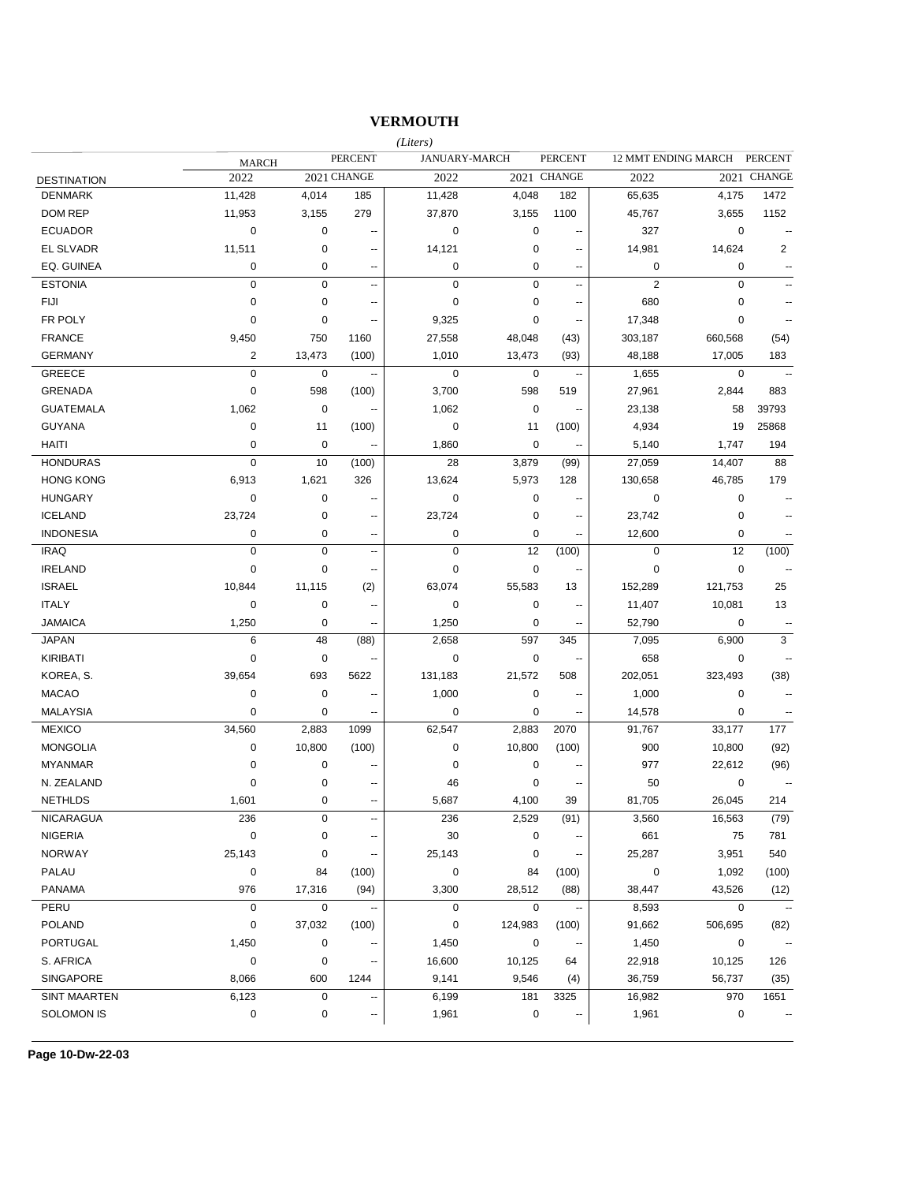## **VERMOUTH**

|                     |                         |             |                          | (Liters)    |                      |                          |                |                     |                          |
|---------------------|-------------------------|-------------|--------------------------|-------------|----------------------|--------------------------|----------------|---------------------|--------------------------|
|                     | <b>MARCH</b>            |             | <b>PERCENT</b>           |             | <b>JANUARY-MARCH</b> | <b>PERCENT</b>           |                | 12 MMT ENDING MARCH | PERCENT                  |
| <b>DESTINATION</b>  | 2022                    |             | 2021 CHANGE              | 2022        |                      | 2021 CHANGE              | 2022           |                     | 2021 CHANGE              |
| <b>DENMARK</b>      | 11,428                  | 4,014       | 185                      | 11,428      | 4,048                | 182                      | 65,635         | 4,175               | 1472                     |
| <b>DOM REP</b>      | 11,953                  | 3,155       | 279                      | 37,870      | 3,155                | 1100                     | 45,767         | 3,655               | 1152                     |
| <b>ECUADOR</b>      | $\mathbf 0$             | 0           | --                       | $\mathbf 0$ | $\pmb{0}$            | --                       | 327            | $\mathbf 0$         | $\sim$ $\sim$            |
| <b>EL SLVADR</b>    | 11,511                  | 0           | $\overline{\phantom{a}}$ | 14,121      | 0                    | $\overline{\phantom{a}}$ | 14,981         | 14,624              | 2                        |
| EQ. GUINEA          | 0                       | 0           | $\overline{\phantom{a}}$ | $\mathbf 0$ | 0                    | --                       | $\mathbf 0$    | 0                   |                          |
| <b>ESTONIA</b>      | $\mathbf 0$             | 0           | $\overline{\phantom{a}}$ | $\mathbf 0$ | 0                    | $\overline{\phantom{a}}$ | $\overline{2}$ | $\mathbf 0$         |                          |
| <b>FIJI</b>         | 0                       | $\pmb{0}$   | $\overline{a}$           | $\mathbf 0$ | 0                    | $\overline{\phantom{a}}$ | 680            | 0                   | $\overline{a}$           |
| FR POLY             | 0                       | 0           | $\overline{a}$           | 9,325       | 0                    | $\overline{a}$           | 17,348         | 0                   | $\overline{a}$           |
| <b>FRANCE</b>       | 9,450                   | 750         | 1160                     | 27,558      | 48,048               | (43)                     | 303,187        | 660,568             | (54)                     |
| <b>GERMANY</b>      | $\overline{\mathbf{c}}$ | 13,473      | (100)                    | 1,010       | 13,473               | (93)                     | 48,188         | 17,005              | 183                      |
| <b>GREECE</b>       | $\pmb{0}$               | 0           | Ξ.                       | $\mathbf 0$ | $\mathbf 0$          | $\sim$                   | 1,655          | $\pmb{0}$           | $\sim$                   |
| <b>GRENADA</b>      | $\pmb{0}$               | 598         | (100)                    | 3,700       | 598                  | 519                      | 27,961         | 2,844               | 883                      |
| <b>GUATEMALA</b>    | 1,062                   | 0           | --                       | 1,062       | $\pmb{0}$            | $\sim$                   | 23,138         | 58                  | 39793                    |
| <b>GUYANA</b>       | 0                       | 11          | (100)                    | $\mathbf 0$ | 11                   | (100)                    | 4,934          | 19                  | 25868                    |
| <b>HAITI</b>        | 0                       | 0           | --                       | 1,860       | $\mathbf 0$          |                          | 5,140          | 1,747               | 194                      |
| <b>HONDURAS</b>     | $\mathbf 0$             | 10          | (100)                    | 28          | 3,879                | (99)                     | 27,059         | 14,407              | 88                       |
| <b>HONG KONG</b>    | 6,913                   | 1,621       | 326                      | 13,624      | 5,973                | 128                      | 130,658        | 46,785              | 179                      |
| <b>HUNGARY</b>      | 0                       | $\pmb{0}$   |                          | $\mathbf 0$ | 0                    | --                       | $\mathbf 0$    | $\pmb{0}$           | $\overline{\phantom{a}}$ |
| <b>ICELAND</b>      | 23,724                  | $\pmb{0}$   | $\overline{\phantom{a}}$ | 23,724      | 0                    | --                       | 23,742         | 0                   |                          |
| <b>INDONESIA</b>    | 0                       | 0           | --                       | $\mathbf 0$ | 0                    | --                       | 12,600         | $\mathbf 0$         |                          |
| <b>IRAQ</b>         | $\mathbf 0$             | $\mathbf 0$ | --                       | $\mathbf 0$ | 12                   | (100)                    | $\mathbf 0$    | 12                  | (100)                    |
| <b>IRELAND</b>      | 0                       | 0           | $\overline{\phantom{a}}$ | $\mathbf 0$ | $\pmb{0}$            | $\overline{\phantom{a}}$ | $\mathbf 0$    | $\pmb{0}$           | $\sim$                   |
| <b>ISRAEL</b>       | 10,844                  | 11,115      | (2)                      | 63,074      | 55,583               | 13                       | 152,289        | 121,753             | 25                       |
| <b>ITALY</b>        | 0                       | 0           | $\overline{\phantom{a}}$ | $\mathbf 0$ | 0                    | $\overline{\phantom{a}}$ | 11,407         | 10,081              | 13                       |
| <b>JAMAICA</b>      | 1,250                   | 0           | --                       | 1,250       | 0                    | $\sim$                   | 52,790         | $\mathbf 0$         | $\ddotsc$                |
| <b>JAPAN</b>        | 6                       | 48          | (88)                     | 2,658       | 597                  | 345                      | 7,095          | 6,900               | 3                        |
| <b>KIRIBATI</b>     | 0                       | 0           | $\overline{\phantom{a}}$ | $\mathbf 0$ | $\pmb{0}$            | $\sim$                   | 658            | $\mathbf 0$         | $\overline{a}$           |
| KOREA, S.           | 39,654                  | 693         | 5622                     | 131,183     | 21,572               | 508                      | 202,051        | 323,493             | (38)                     |
| <b>MACAO</b>        | 0                       | 0           | $\overline{\phantom{a}}$ | 1,000       | $\pmb{0}$            | $\overline{\phantom{a}}$ | 1,000          | 0                   | --                       |
| <b>MALAYSIA</b>     | 0                       | 0           | ۰.                       | $\mathbf 0$ | $\pmb{0}$            | $\overline{\phantom{a}}$ | 14,578         | 0                   |                          |
| <b>MEXICO</b>       | 34,560                  | 2,883       | 1099                     | 62,547      | 2,883                | 2070                     | 91,767         | 33,177              | 177                      |
| <b>MONGOLIA</b>     | 0                       | 10,800      | (100)                    | $\pmb{0}$   | 10,800               | (100)                    | 900            | 10,800              | (92)                     |
| <b>MYANMAR</b>      | 0                       | 0           |                          | $\mathbf 0$ | 0                    |                          | 977            | 22,612              | (96)                     |
| N. ZEALAND          | 0                       | 0           | $\overline{a}$           | 46          | 0                    |                          | 50             | 0                   | $\overline{a}$           |
| <b>NETHLDS</b>      | 1,601                   | $\Omega$    |                          | 5,687       | 4,100                | 39                       | 81,705         | 26,045              | 214                      |
| <b>NICARAGUA</b>    | 236                     | 0           | $\overline{a}$           | 236         | 2,529                | (91)                     | 3,560          | 16,563              | (79)                     |
| <b>NIGERIA</b>      | 0                       | 0           |                          | 30          | 0                    |                          | 661            | 75                  | 781                      |
| <b>NORWAY</b>       | 25,143                  | 0           |                          | 25,143      | $\mathbf 0$          |                          | 25,287         | 3,951               | 540                      |
| PALAU               | 0                       | 84          | (100)                    | $\pmb{0}$   | 84                   | (100)                    | 0              | 1,092               | (100)                    |
| <b>PANAMA</b>       | 976                     | 17,316      | (94)                     | 3,300       | 28,512               | (88)                     | 38,447         | 43,526              | (12)                     |
| PERU                | 0                       | 0           |                          | $\mathbf 0$ | 0                    |                          | 8,593          | 0                   |                          |
| <b>POLAND</b>       | 0                       | 37,032      | (100)                    | 0           | 124,983              | (100)                    | 91,662         | 506,695             | (82)                     |
| <b>PORTUGAL</b>     | 1,450                   | 0           |                          | 1,450       | $\pmb{0}$            |                          | 1,450          | 0                   |                          |
| S. AFRICA           | 0                       | 0           |                          | 16,600      | 10,125               | 64                       | 22,918         | 10,125              | 126                      |
| SINGAPORE           | 8,066                   | 600         | 1244                     | 9,141       | 9,546                | (4)                      | 36,759         | 56,737              | (35)                     |
| <b>SINT MAARTEN</b> | 6,123                   | 0           | $\overline{\phantom{a}}$ | 6,199       | 181                  | 3325                     | 16,982         | 970                 | 1651                     |
| SOLOMON IS          | 0                       | 0           | --                       | 1,961       | 0                    | $\overline{\phantom{a}}$ | 1,961          | $\pmb{0}$           |                          |
|                     |                         |             |                          |             |                      |                          |                |                     |                          |

**Page 10-Dw-22-03**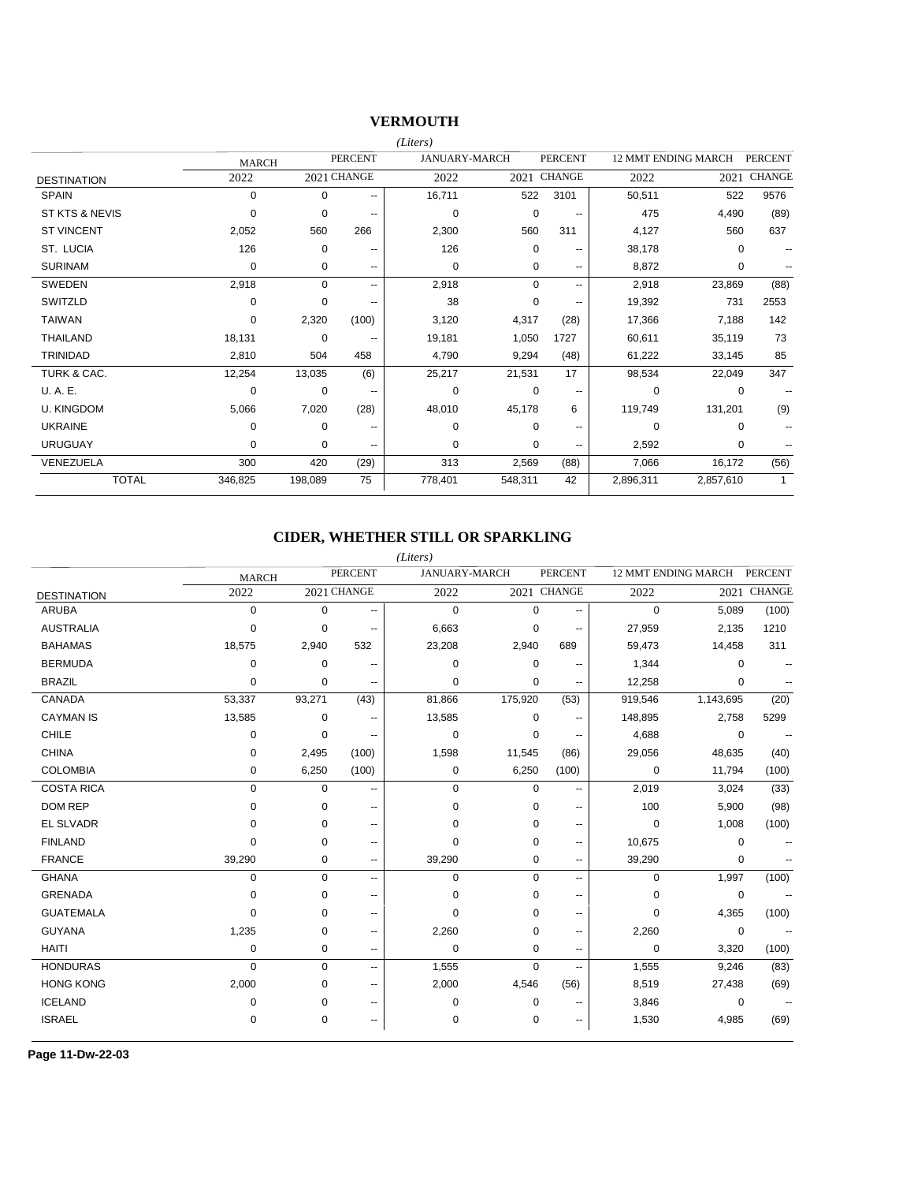### **VERMOUTH**

|                    |              |          |                          | (Liters)    |                      |                          |           |                            |                |
|--------------------|--------------|----------|--------------------------|-------------|----------------------|--------------------------|-----------|----------------------------|----------------|
|                    | <b>MARCH</b> |          | <b>PERCENT</b>           |             | <b>JANUARY-MARCH</b> | <b>PERCENT</b>           |           | <b>12 MMT ENDING MARCH</b> | <b>PERCENT</b> |
| <b>DESTINATION</b> | 2022         |          | 2021 CHANGE              | 2022        |                      | 2021 CHANGE              | 2022      | 2021                       | <b>CHANGE</b>  |
| <b>SPAIN</b>       | $\Omega$     | $\Omega$ | $\overline{\phantom{a}}$ | 16,711      | 522                  | 3101                     | 50,511    | 522                        | 9576           |
| ST KTS & NEVIS     | 0            | 0        | $\overline{\phantom{a}}$ | $\mathbf 0$ | 0                    | $- -$                    | 475       | 4,490                      | (89)           |
| <b>ST VINCENT</b>  | 2,052        | 560      | 266                      | 2,300       | 560                  | 311                      | 4,127     | 560                        | 637            |
| ST. LUCIA          | 126          | 0        | --                       | 126         | 0                    | $\overline{\phantom{m}}$ | 38,178    | $\Omega$                   | --             |
| <b>SURINAM</b>     | 0            | 0        | --                       | 0           | 0                    | $\overline{\phantom{a}}$ | 8,872     | 0                          |                |
| <b>SWEDEN</b>      | 2,918        | 0        | ۰.                       | 2,918       | $\Omega$             | $-$                      | 2,918     | 23,869                     | (88)           |
| SWITZLD            | $\Omega$     | $\Omega$ | $\overline{\phantom{a}}$ | 38          | 0                    | $\overline{\phantom{m}}$ | 19,392    | 731                        | 2553           |
| <b>TAIWAN</b>      | $\Omega$     | 2,320    | (100)                    | 3,120       | 4,317                | (28)                     | 17,366    | 7,188                      | 142            |
| <b>THAILAND</b>    | 18,131       | 0        | --                       | 19.181      | 1,050                | 1727                     | 60,611    | 35,119                     | 73             |
| <b>TRINIDAD</b>    | 2,810        | 504      | 458                      | 4,790       | 9,294                | (48)                     | 61,222    | 33,145                     | 85             |
| TURK & CAC.        | 12,254       | 13,035   | (6)                      | 25,217      | 21,531               | 17                       | 98,534    | 22,049                     | 347            |
| U.A.E.             | 0            | 0        | $\overline{\phantom{a}}$ | $\mathbf 0$ | $\mathbf 0$          | $\overline{\phantom{m}}$ | 0         | 0                          |                |
| <b>U. KINGDOM</b>  | 5,066        | 7,020    | (28)                     | 48,010      | 45,178               | 6                        | 119,749   | 131,201                    | (9)            |
| <b>UKRAINE</b>     | $\Omega$     | $\Omega$ | --                       | $\Omega$    | $\Omega$             | $\overline{\phantom{m}}$ | $\Omega$  | $\Omega$                   |                |
| <b>URUGUAY</b>     | $\Omega$     | $\Omega$ | $\overline{\phantom{a}}$ | $\Omega$    | $\Omega$             | $\overline{\phantom{m}}$ | 2,592     | 0                          |                |
| VENEZUELA          | 300          | 420      | (29)                     | 313         | 2,569                | (88)                     | 7,066     | 16,172                     | (56)           |
| <b>TOTAL</b>       | 346,825      | 198,089  | 75                       | 778.401     | 548,311              | 42                       | 2,896,311 | 2,857,610                  | $\mathbf{1}$   |

## **CIDER, WHETHER STILL OR SPARKLING**

|                    |              |             |                          | (Liters)             |             |                          |                     |             |                |
|--------------------|--------------|-------------|--------------------------|----------------------|-------------|--------------------------|---------------------|-------------|----------------|
|                    | <b>MARCH</b> |             | <b>PERCENT</b>           | <b>JANUARY-MARCH</b> |             | <b>PERCENT</b>           | 12 MMT ENDING MARCH |             | <b>PERCENT</b> |
| <b>DESTINATION</b> | 2022         |             | 2021 CHANGE              | 2022                 |             | 2021 CHANGE              | 2022                | 2021        | <b>CHANGE</b>  |
| <b>ARUBA</b>       | 0            | $\mathbf 0$ | --                       | $\mathbf 0$          | $\mathbf 0$ |                          | 0                   | 5,089       | (100)          |
| <b>AUSTRALIA</b>   | 0            | $\Omega$    | ۰.                       | 6,663                | $\mathbf 0$ | $\overline{\phantom{a}}$ | 27,959              | 2,135       | 1210           |
| <b>BAHAMAS</b>     | 18,575       | 2,940       | 532                      | 23,208               | 2,940       | 689                      | 59,473              | 14,458      | 311            |
| <b>BERMUDA</b>     | 0            | $\mathbf 0$ | --                       | $\Omega$             | 0           | --                       | 1,344               | 0           |                |
| <b>BRAZIL</b>      | 0            | 0           | ۰.                       | 0                    | 0           | $\overline{a}$           | 12,258              | 0           |                |
| CANADA             | 53,337       | 93,271      | (43)                     | 81,866               | 175,920     | (53)                     | 919,546             | 1,143,695   | (20)           |
| <b>CAYMAN IS</b>   | 13,585       | $\mathbf 0$ | $\overline{\phantom{a}}$ | 13,585               | $\mathbf 0$ | $\overline{\phantom{a}}$ | 148,895             | 2,758       | 5299           |
| <b>CHILE</b>       | 0            | 0           | $\overline{\phantom{a}}$ | $\mathbf 0$          | 0           | --                       | 4,688               | 0           |                |
| <b>CHINA</b>       | 0            | 2,495       | (100)                    | 1,598                | 11,545      | (86)                     | 29,056              | 48,635      | (40)           |
| <b>COLOMBIA</b>    | 0            | 6,250       | (100)                    | $\mathbf 0$          | 6,250       | (100)                    | $\mathbf 0$         | 11,794      | (100)          |
| <b>COSTA RICA</b>  | 0            | 0           | --                       | $\mathbf 0$          | $\mathbf 0$ | $\overline{\phantom{a}}$ | 2,019               | 3,024       | (33)           |
| <b>DOM REP</b>     | 0            | $\mathbf 0$ | ۰.                       | $\mathbf 0$          | 0           | $\overline{\phantom{a}}$ | 100                 | 5,900       | (98)           |
| EL SLVADR          | 0            | 0           | $-$                      | $\mathbf 0$          | 0           | $\overline{\phantom{a}}$ | 0                   | 1,008       | (100)          |
| <b>FINLAND</b>     | 0            | $\Omega$    | ۰.                       | $\Omega$             | $\mathbf 0$ | $\overline{\phantom{a}}$ | 10,675              | $\mathbf 0$ |                |
| <b>FRANCE</b>      | 39,290       | 0           | ۰.                       | 39,290               | $\mathbf 0$ | $\overline{\phantom{a}}$ | 39,290              | $\mathbf 0$ |                |
| <b>GHANA</b>       | 0            | $\mathbf 0$ | ۰.                       | $\mathbf 0$          | $\mathbf 0$ | $\overline{\phantom{a}}$ | 0                   | 1,997       | (100)          |
| <b>GRENADA</b>     | 0            | $\mathbf 0$ | ۰.                       | $\mathbf 0$          | $\mathbf 0$ | $\overline{\phantom{a}}$ | 0                   | 0           |                |
| <b>GUATEMALA</b>   | 0            | $\Omega$    | --                       | $\mathbf 0$          | 0           | $\overline{\phantom{a}}$ | 0                   | 4,365       | (100)          |
| <b>GUYANA</b>      | 1,235        | 0           | ۰.                       | 2,260                | $\mathbf 0$ | ۰.                       | 2,260               | 0           |                |
| <b>HAITI</b>       | 0            | 0           | ۰.                       | $\mathbf 0$          | $\mathbf 0$ | $\overline{\phantom{a}}$ | $\mathbf 0$         | 3,320       | (100)          |
| <b>HONDURAS</b>    | $\Omega$     | $\Omega$    | ۰.                       | 1,555                | $\Omega$    |                          | 1,555               | 9,246       | (83)           |
| <b>HONG KONG</b>   | 2,000        | 0           | --                       | 2,000                | 4,546       | (56)                     | 8,519               | 27,438      | (69)           |
| <b>ICELAND</b>     | 0            | 0           | ۰.                       | $\mathbf 0$          | 0           | --                       | 3,846               | 0           |                |
| <b>ISRAEL</b>      | 0            | 0           | $-$                      | 0                    | $\mathbf 0$ | $\overline{\phantom{a}}$ | 1,530               | 4,985       | (69)           |

**Page 11-Dw-22-03**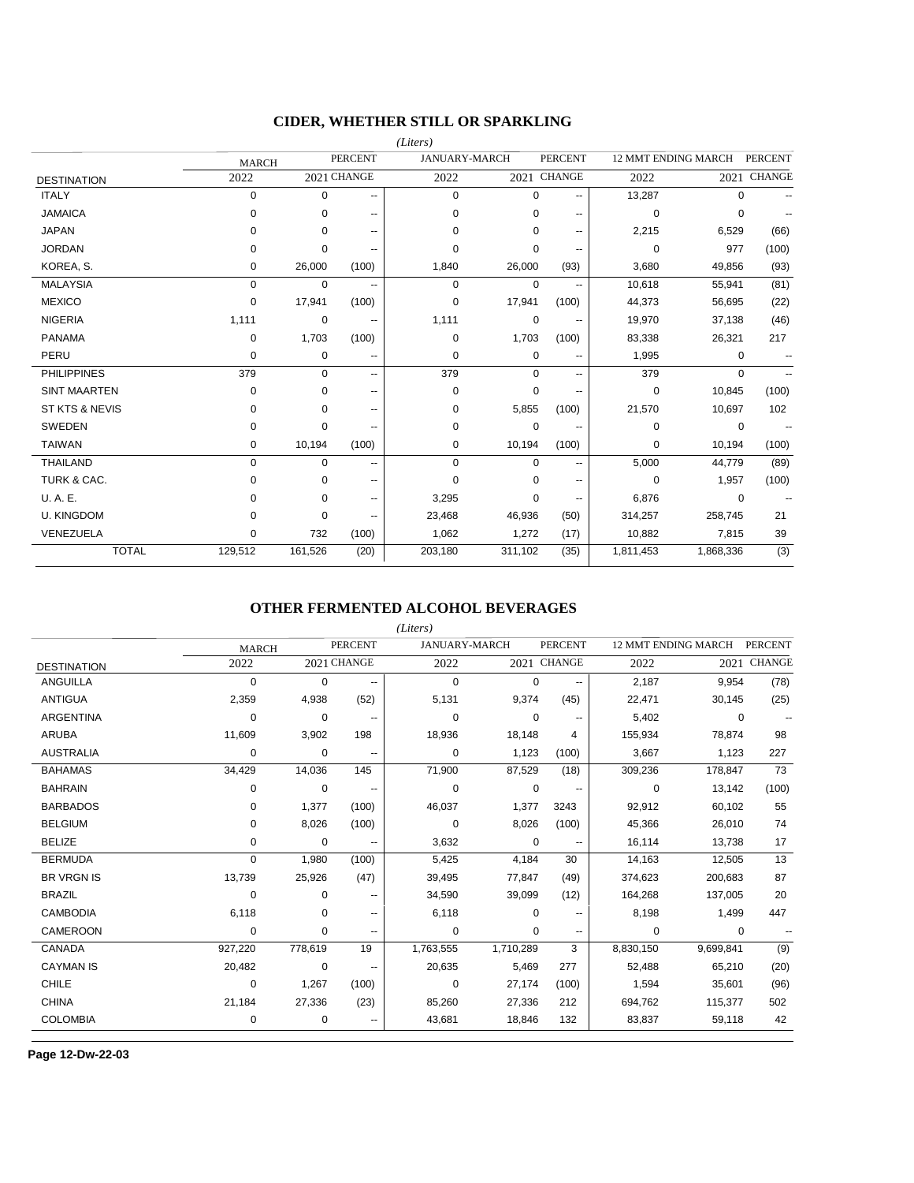### **CIDER, WHETHER STILL OR SPARKLING**

|                     |              |             |                          | (Liters)             |             |                          |                            |             |                          |
|---------------------|--------------|-------------|--------------------------|----------------------|-------------|--------------------------|----------------------------|-------------|--------------------------|
|                     | <b>MARCH</b> |             | <b>PERCENT</b>           | <b>JANUARY-MARCH</b> |             | <b>PERCENT</b>           | <b>12 MMT ENDING MARCH</b> |             | <b>PERCENT</b>           |
| <b>DESTINATION</b>  | 2022         |             | 2021 CHANGE              | 2022                 |             | 2021 CHANGE              | 2022                       |             | 2021 CHANGE              |
| <b>ITALY</b>        | 0            | $\mathbf 0$ | ۰.                       | $\mathbf 0$          | $\mathbf 0$ | $\overline{\phantom{a}}$ | 13,287                     | $\mathbf 0$ |                          |
| <b>JAMAICA</b>      | 0            | 0           | --                       | $\Omega$             | $\mathbf 0$ | $\overline{\phantom{a}}$ | $\mathbf 0$                | $\mathbf 0$ |                          |
| <b>JAPAN</b>        | 0            | $\Omega$    | ۰.                       | $\Omega$             | $\mathbf 0$ | $\overline{\phantom{a}}$ | 2,215                      | 6,529       | (66)                     |
| <b>JORDAN</b>       | 0            | 0           | --                       | $\Omega$             | $\mathbf 0$ | --                       | 0                          | 977         | (100)                    |
| KOREA, S.           | 0            | 26,000      | (100)                    | 1,840                | 26,000      | (93)                     | 3,680                      | 49,856      | (93)                     |
| <b>MALAYSIA</b>     | 0            | 0           | --                       | 0                    | 0           |                          | 10,618                     | 55,941      | (81)                     |
| <b>MEXICO</b>       | 0            | 17,941      | (100)                    | $\Omega$             | 17,941      | (100)                    | 44,373                     | 56,695      | (22)                     |
| <b>NIGERIA</b>      | 1,111        | 0           | --                       | 1,111                | 0           |                          | 19,970                     | 37,138      | (46)                     |
| <b>PANAMA</b>       | 0            | 1,703       | (100)                    | $\mathbf 0$          | 1,703       | (100)                    | 83,338                     | 26,321      | 217                      |
| PERU                | 0            | 0           | $\overline{\phantom{a}}$ | 0                    | 0           | $\overline{\phantom{a}}$ | 1,995                      | 0           | $\overline{\phantom{a}}$ |
| <b>PHILIPPINES</b>  | 379          | $\Omega$    | $\overline{\phantom{a}}$ | 379                  | $\Omega$    | $\overline{a}$           | 379                        | $\mathbf 0$ | $\overline{a}$           |
| <b>SINT MAARTEN</b> | 0            | 0           | ۰.                       | 0                    | $\mathbf 0$ | $\overline{a}$           | 0                          | 10.845      | (100)                    |
| ST KTS & NEVIS      | 0            | 0           | --                       | 0                    | 5,855       | (100)                    | 21,570                     | 10,697      | 102                      |
| <b>SWEDEN</b>       | 0            | 0           | ۰.                       | 0                    | 0           | $\overline{a}$           | 0                          | $\mathbf 0$ |                          |
| <b>TAIWAN</b>       | 0            | 10,194      | (100)                    | 0                    | 10,194      | (100)                    | 0                          | 10,194      | (100)                    |
| <b>THAILAND</b>     | $\Omega$     | $\Omega$    | ۰.                       | $\Omega$             | $\Omega$    | $\overline{a}$           | 5,000                      | 44,779      | (89)                     |
| TURK & CAC.         | 0            | 0           | ۰.                       | $\mathbf 0$          | $\Omega$    | --                       | 0                          | 1,957       | (100)                    |
| U.A.E.              | 0            | 0           | --                       | 3,295                | 0           | $\overline{\phantom{a}}$ | 6,876                      | 0           |                          |
| <b>U. KINGDOM</b>   | 0            | 0           | --                       | 23,468               | 46,936      | (50)                     | 314,257                    | 258,745     | 21                       |
| VENEZUELA           | 0            | 732         | (100)                    | 1,062                | 1,272       | (17)                     | 10,882                     | 7,815       | 39                       |
| <b>TOTAL</b>        | 129,512      | 161,526     | (20)                     | 203,180              | 311,102     | (35)                     | 1,811,453                  | 1,868,336   | (3)                      |

### **OTHER FERMENTED ALCOHOL BEVERAGES**

|                    |              |         |                          | (Liters)             |             |                |           |                            |                |
|--------------------|--------------|---------|--------------------------|----------------------|-------------|----------------|-----------|----------------------------|----------------|
|                    | <b>MARCH</b> |         | <b>PERCENT</b>           | <b>JANUARY-MARCH</b> |             | <b>PERCENT</b> |           | <b>12 MMT ENDING MARCH</b> | <b>PERCENT</b> |
| <b>DESTINATION</b> | 2022         |         | 2021 CHANGE              | 2022                 |             | 2021 CHANGE    | 2022      | 2021                       | <b>CHANGE</b>  |
| <b>ANGUILLA</b>    | 0            | 0       |                          | 0                    | 0           |                | 2,187     | 9,954                      | (78)           |
| <b>ANTIGUA</b>     | 2,359        | 4,938   | (52)                     | 5,131                | 9,374       | (45)           | 22,471    | 30,145                     | (25)           |
| <b>ARGENTINA</b>   | $\Omega$     | 0       |                          | 0                    | $\Omega$    |                | 5,402     | 0                          |                |
| <b>ARUBA</b>       | 11,609       | 3,902   | 198                      | 18,936               | 18,148      | 4              | 155,934   | 78,874                     | 98             |
| <b>AUSTRALIA</b>   | 0            | 0       | $\overline{\phantom{a}}$ | 0                    | 1,123       | (100)          | 3,667     | 1,123                      | 227            |
| <b>BAHAMAS</b>     | 34,429       | 14,036  | 145                      | 71,900               | 87,529      | (18)           | 309,236   | 178,847                    | 73             |
| <b>BAHRAIN</b>     | 0            | 0       | $\overline{\phantom{a}}$ | 0                    | $\mathbf 0$ | $-$            | 0         | 13,142                     | (100)          |
| <b>BARBADOS</b>    | 0            | 1,377   | (100)                    | 46,037               | 1,377       | 3243           | 92,912    | 60,102                     | 55             |
| <b>BELGIUM</b>     | 0            | 8,026   | (100)                    | $\mathbf 0$          | 8,026       | (100)          | 45,366    | 26,010                     | 74             |
| <b>BELIZE</b>      | 0            | 0       |                          | 3,632                | 0           |                | 16,114    | 13,738                     | 17             |
| <b>BERMUDA</b>     | 0            | 1,980   | (100)                    | 5,425                | 4,184       | 30             | 14,163    | 12,505                     | 13             |
| <b>BR VRGN IS</b>  | 13,739       | 25,926  | (47)                     | 39,495               | 77,847      | (49)           | 374,623   | 200,683                    | 87             |
| <b>BRAZIL</b>      | 0            | 0       |                          | 34,590               | 39,099      | (12)           | 164,268   | 137,005                    | 20             |
| <b>CAMBODIA</b>    | 6,118        | 0       |                          | 6,118                | $\Omega$    |                | 8,198     | 1,499                      | 447            |
| <b>CAMEROON</b>    | 0            | 0       | --                       | 0                    | 0           | --             | 0         | 0                          |                |
| CANADA             | 927,220      | 778,619 | 19                       | 1,763,555            | 1,710,289   | 3              | 8,830,150 | 9,699,841                  | (9)            |
| <b>CAYMAN IS</b>   | 20,482       | 0       | $\overline{\phantom{a}}$ | 20,635               | 5,469       | 277            | 52,488    | 65,210                     | (20)           |
| CHILE              | 0            | 1,267   | (100)                    | 0                    | 27,174      | (100)          | 1,594     | 35,601                     | (96)           |
| <b>CHINA</b>       | 21,184       | 27,336  | (23)                     | 85,260               | 27,336      | 212            | 694,762   | 115,377                    | 502            |
| <b>COLOMBIA</b>    | 0            | 0       |                          | 43,681               | 18,846      | 132            | 83,837    | 59,118                     | 42             |

**Page 12-Dw-22-03**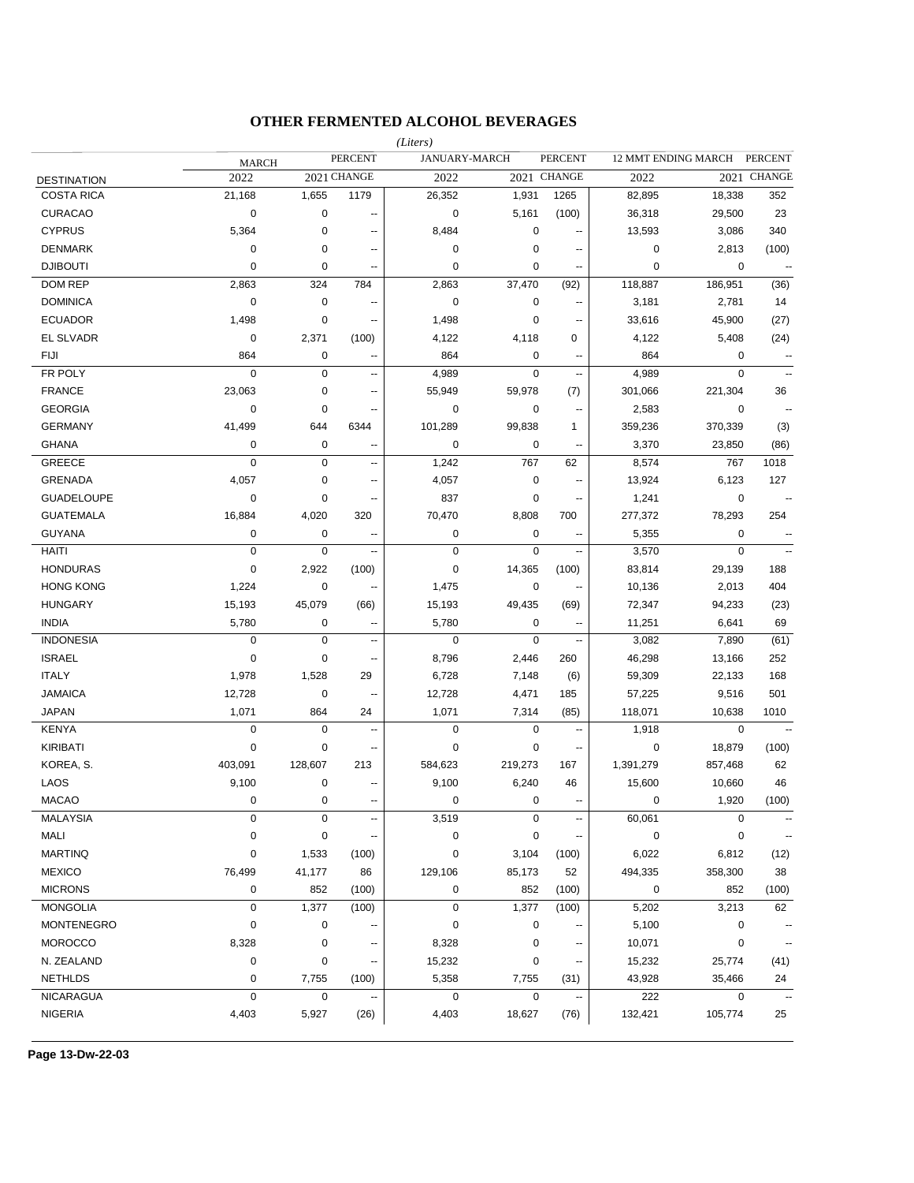## **OTHER FERMENTED ALCOHOL BEVERAGES**

|                    |              |             |                          | (Liters)        |               |                          |             |                     |                          |
|--------------------|--------------|-------------|--------------------------|-----------------|---------------|--------------------------|-------------|---------------------|--------------------------|
|                    | <b>MARCH</b> |             | <b>PERCENT</b>           |                 | JANUARY-MARCH | <b>PERCENT</b>           |             | 12 MMT ENDING MARCH | <b>PERCENT</b>           |
| <b>DESTINATION</b> | 2022         |             | 2021 CHANGE              | 2022            |               | 2021 CHANGE              | 2022        |                     | 2021 CHANGE              |
| <b>COSTA RICA</b>  | 21,168       | 1,655       | 1179                     | 26,352          | 1,931         | 1265                     | 82,895      | 18,338              | 352                      |
| <b>CURACAO</b>     | 0            | 0           | $\overline{\phantom{a}}$ | $\mathbf 0$     | 5,161         | (100)                    | 36,318      | 29,500              | 23                       |
| <b>CYPRUS</b>      | 5,364        | $\pmb{0}$   | $\overline{\phantom{a}}$ | 8,484           | $\mathbf 0$   |                          | 13,593      | 3,086               | 340                      |
| <b>DENMARK</b>     | 0            | 0           | $\overline{\phantom{a}}$ | $\mathbf 0$     | 0             | ٠.                       | $\mathbf 0$ | 2,813               | (100)                    |
| <b>DJIBOUTI</b>    | 0            | 0           | $\overline{a}$           | $\mathbf 0$     | 0             |                          | 0           | 0                   | $\overline{\phantom{a}}$ |
| <b>DOM REP</b>     | 2,863        | 324         | 784                      | 2,863           | 37,470        | (92)                     | 118,887     | 186,951             | (36)                     |
| <b>DOMINICA</b>    | 0            | 0           | $\overline{\phantom{a}}$ | $\mathbf 0$     | $\mathbf 0$   | ٠.                       | 3,181       | 2,781               | 14                       |
| <b>ECUADOR</b>     | 1,498        | 0           | $\overline{\phantom{a}}$ | 1,498           | 0             | $\overline{\phantom{a}}$ | 33,616      | 45,900              | (27)                     |
| EL SLVADR          | 0            | 2,371       | (100)                    | 4,122           | 4,118         | 0                        | 4,122       | 5,408               | (24)                     |
| <b>FIJI</b>        | 864          | 0           | н.                       | 864             | 0             | $\overline{\phantom{a}}$ | 864         | 0                   | $\overline{\phantom{a}}$ |
| FR POLY            | 0            | 0           | $\overline{\phantom{a}}$ | 4,989           | $\mathbf 0$   | $\overline{a}$           | 4,989       | 0                   | $\sim$ $\sim$            |
| <b>FRANCE</b>      | 23,063       | 0           | $\overline{\phantom{a}}$ | 55,949          | 59,978        | (7)                      | 301,066     | 221,304             | 36                       |
| <b>GEORGIA</b>     | 0            | 0           | --                       | $\mathbf 0$     | $\mathbf 0$   | --                       | 2,583       | 0                   | $\overline{a}$           |
| <b>GERMANY</b>     | 41,499       | 644         | 6344                     | 101,289         | 99,838        | $\mathbf{1}$             | 359,236     | 370,339             | (3)                      |
| <b>GHANA</b>       | 0            | $\pmb{0}$   | --                       | $\mathbf 0$     | $\mathbf 0$   | ÷.                       | 3,370       | 23,850              | (86)                     |
| <b>GREECE</b>      | 0            | 0           | Ξ.                       | 1,242           | 767           | 62                       | 8,574       | 767                 | 1018                     |
| <b>GRENADA</b>     | 4,057        | 0           | н.                       | 4,057           | $\pmb{0}$     | ц,                       | 13,924      | 6,123               | 127                      |
| <b>GUADELOUPE</b>  | 0            | $\pmb{0}$   | --                       | 837             | 0             | $\overline{\phantom{a}}$ | 1,241       | 0                   | $\overline{\phantom{a}}$ |
| <b>GUATEMALA</b>   | 16,884       | 4,020       | 320                      | 70,470          | 8,808         | 700                      | 277,372     | 78,293              | 254                      |
| <b>GUYANA</b>      | 0            | $\pmb{0}$   | --                       | $\mathbf 0$     | 0             | --                       | 5,355       | 0                   | $\overline{\phantom{a}}$ |
| <b>HAITI</b>       | 0            | $\mathbf 0$ | Ξ.                       | $\mathbf 0$     | $\mathbf 0$   | $\overline{\phantom{a}}$ | 3,570       | $\mathbf 0$         | $\sim$ $\sim$            |
| <b>HONDURAS</b>    | 0            | 2,922       | (100)                    | $\mathbf 0$     | 14,365        | (100)                    | 83,814      | 29,139              | 188                      |
| <b>HONG KONG</b>   | 1,224        | $\pmb{0}$   | --                       | 1,475           | $\mathbf 0$   |                          | 10,136      | 2,013               | 404                      |
| <b>HUNGARY</b>     | 15,193       | 45,079      | (66)                     | 15,193          | 49,435        | (69)                     | 72,347      | 94,233              | (23)                     |
| <b>INDIA</b>       | 5,780        | 0           | ÷                        | 5,780           | 0             |                          | 11,251      | 6,641               | 69                       |
| <b>INDONESIA</b>   | 0            | 0           | ۰.                       | $\mathbf 0$     | $\mathbf 0$   |                          | 3,082       | 7,890               | (61)                     |
| <b>ISRAEL</b>      | 0            | 0           | --                       | 8,796           | 2,446         | 260                      | 46,298      | 13,166              | 252                      |
| <b>ITALY</b>       | 1,978        | 1,528       | 29                       | 6,728           | 7,148         | (6)                      | 59,309      | 22,133              | 168                      |
| <b>JAMAICA</b>     | 12,728       | 0           | --                       | 12,728          | 4,471         | 185                      | 57,225      | 9,516               | 501                      |
| <b>JAPAN</b>       | 1,071        | 864         | 24                       | 1,071           | 7,314         | (85)                     | 118,071     | 10,638              | 1010                     |
| <b>KENYA</b>       | 0            | 0           | --                       | $\mathbf 0$     | $\mathbf 0$   | ä.                       | 1,918       | 0                   | $\sim$                   |
| <b>KIRIBATI</b>    | 0            | 0           | --                       | $\mathbf 0$     | 0             | $\overline{\phantom{a}}$ | 0           | 18,879              | (100)                    |
| KOREA, S.          | 403,091      | 128,607     | 213                      | 584,623         | 219,273       | 167                      | 1,391,279   | 857,468             | 62                       |
| LAOS               | 9,100        | 0           | --                       | 9,100           | 6,240         | 46                       | 15,600      | 10,660              | 46                       |
| MACAO              | $\Omega$     | $\Omega$    |                          | $\Omega$        | $\Omega$      |                          | $\Omega$    | 1,920               | (100)                    |
| <b>MALAYSIA</b>    | 0            | 0           | $\overline{a}$           | 3,519           | $\mathbf 0$   | $\overline{a}$           | 60,061      | 0                   |                          |
| MALI               | 0            | 0           |                          | $\pmb{0}$       | $\pmb{0}$     |                          | 0           | 0                   |                          |
| <b>MARTINQ</b>     | 0            | 1,533       | (100)                    | $\pmb{0}$       | 3,104         | (100)                    | 6,022       | 6,812               | (12)                     |
| <b>MEXICO</b>      | 76,499       | 41,177      | 86                       | 129,106         | 85,173        | 52                       | 494,335     | 358,300             | 38                       |
| <b>MICRONS</b>     | 0            | 852         | (100)                    | $\pmb{0}$       | 852           | (100)                    | 0           | 852                 | (100)                    |
| <b>MONGOLIA</b>    | 0            | 1,377       | (100)                    | $\mathbf 0$     | 1,377         | (100)                    | 5,202       | 3,213               | 62                       |
| <b>MONTENEGRO</b>  | 0            | 0           |                          | 0               | 0             |                          | 5,100       | 0                   |                          |
| <b>MOROCCO</b>     | 8,328        | 0           |                          |                 | 0             |                          | 10,071      | 0                   |                          |
| N. ZEALAND         | 0            | 0           |                          | 8,328<br>15,232 | 0             |                          | 15,232      | 25,774              | (41)                     |
| <b>NETHLDS</b>     |              |             |                          |                 |               |                          | 43,928      |                     |                          |
| <b>NICARAGUA</b>   | 0<br>0       | 7,755<br>0  | (100)                    | 5,358<br>0      | 7,755<br>0    | (31)                     | 222         | 35,466<br>0         | 24                       |
|                    |              |             |                          |                 |               |                          |             |                     |                          |
| <b>NIGERIA</b>     | 4,403        | 5,927       | (26)                     | 4,403           | 18,627        | (76)                     | 132,421     | 105,774             | 25                       |

**Page 13-Dw-22-03**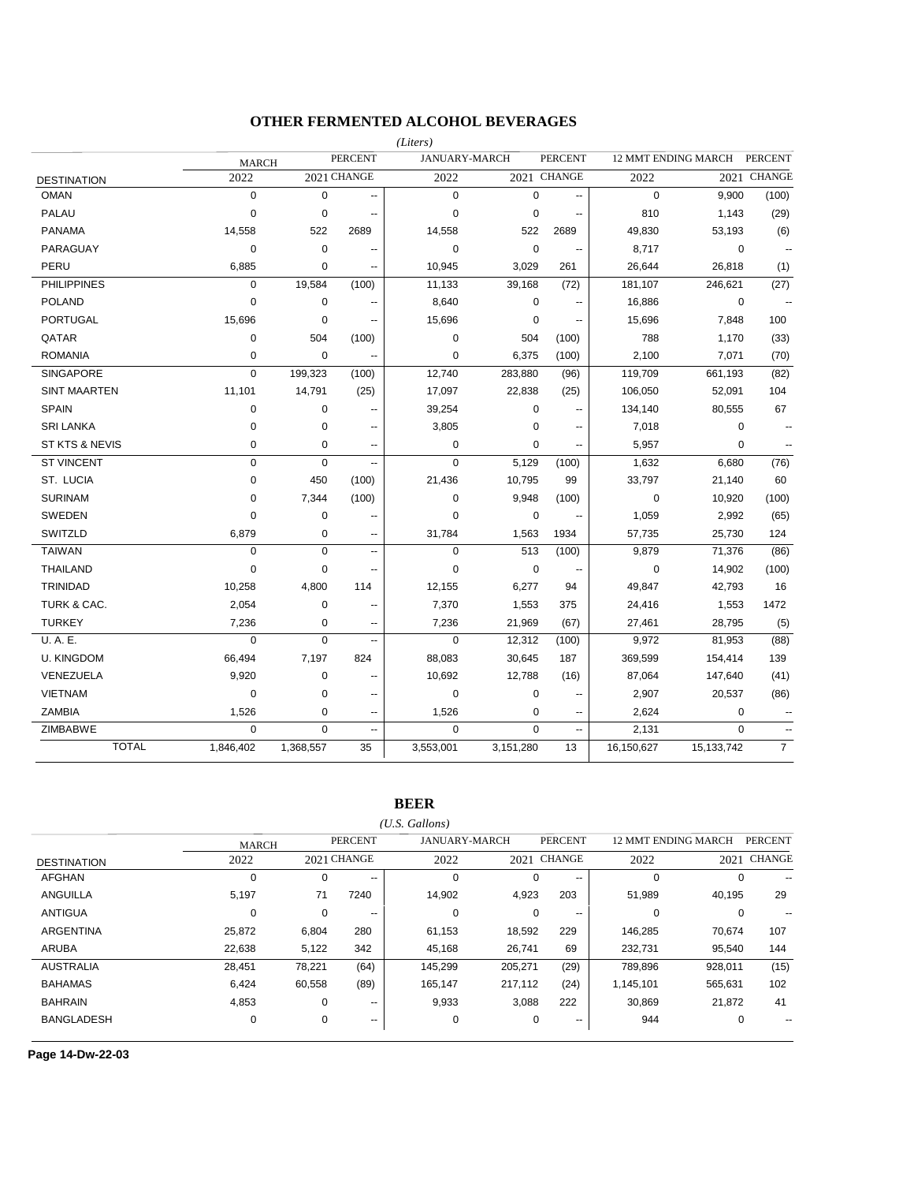### **OTHER FERMENTED ALCOHOL BEVERAGES**

|                           |              |             |                          | (Liters)       |                      |                          |             |                     |                          |
|---------------------------|--------------|-------------|--------------------------|----------------|----------------------|--------------------------|-------------|---------------------|--------------------------|
|                           | <b>MARCH</b> |             | <b>PERCENT</b>           |                | <b>JANUARY-MARCH</b> | <b>PERCENT</b>           |             | 12 MMT ENDING MARCH | <b>PERCENT</b>           |
| <b>DESTINATION</b>        | 2022         |             | 2021 CHANGE              | 2022           |                      | 2021 CHANGE              | 2022        |                     | 2021 CHANGE              |
| <b>OMAN</b>               | $\mathbf 0$  | $\mathbf 0$ | Ξ.                       | $\mathbf 0$    | $\mathbf 0$          | $\overline{a}$           | $\mathbf 0$ | 9,900               | (100)                    |
| PALAU                     | 0            | $\mathbf 0$ | --                       | $\mathbf 0$    | $\mathbf 0$          | --                       | 810         | 1,143               | (29)                     |
| <b>PANAMA</b>             | 14,558       | 522         | 2689                     | 14,558         | 522                  | 2689                     | 49,830      | 53,193              | (6)                      |
| PARAGUAY                  | 0            | $\mathbf 0$ | --                       | 0              | $\mathbf 0$          | --                       | 8,717       | 0                   | --                       |
| PERU                      | 6,885        | 0           | $\overline{a}$           | 10,945         | 3,029                | 261                      | 26,644      | 26,818              | (1)                      |
| <b>PHILIPPINES</b>        | $\mathbf 0$  | 19,584      | (100)                    | 11,133         | 39,168               | (72)                     | 181,107     | 246,621             | (27)                     |
| <b>POLAND</b>             | 0            | 0           | $\overline{a}$           | 8,640          | $\mathbf 0$          | $\overline{\phantom{a}}$ | 16,886      | $\mathbf 0$         |                          |
| <b>PORTUGAL</b>           | 15,696       | $\mathbf 0$ | --                       | 15,696         | $\mathbf 0$          | $\overline{\phantom{a}}$ | 15,696      | 7,848               | 100                      |
| QATAR                     | 0            | 504         | (100)                    | $\mathbf 0$    | 504                  | (100)                    | 788         | 1,170               | (33)                     |
| <b>ROMANIA</b>            | 0            | $\mathbf 0$ | ٠.                       | $\mathbf 0$    | 6,375                | (100)                    | 2,100       | 7,071               | (70)                     |
| <b>SINGAPORE</b>          | $\Omega$     | 199,323     | (100)                    | 12,740         | 283,880              | (96)                     | 119,709     | 661,193             | (82)                     |
| <b>SINT MAARTEN</b>       | 11,101       | 14,791      | (25)                     | 17,097         | 22,838               | (25)                     | 106,050     | 52,091              | 104                      |
| <b>SPAIN</b>              | 0            | 0           | $\overline{a}$           | 39,254         | $\mathbf 0$          | $\sim$                   | 134,140     | 80,555              | 67                       |
| <b>SRI LANKA</b>          | 0            | $\mathbf 0$ | $\overline{a}$           | 3,805          | $\mathbf 0$          | $\overline{a}$           | 7,018       | $\mathbf 0$         | $\overline{a}$           |
| <b>ST KTS &amp; NEVIS</b> | 0            | $\mathbf 0$ | $\overline{a}$           | $\mathbf 0$    | $\Omega$             |                          | 5,957       | $\Omega$            |                          |
| <b>ST VINCENT</b>         | $\mathbf 0$  | $\Omega$    | $\overline{\phantom{a}}$ | $\mathbf 0$    | 5,129                | (100)                    | 1,632       | 6,680               | (76)                     |
| ST. LUCIA                 | 0            | 450         | (100)                    | 21,436         | 10,795               | 99                       | 33,797      | 21,140              | 60                       |
| <b>SURINAM</b>            | 0            | 7,344       | (100)                    | $\mathbf 0$    | 9,948                | (100)                    | 0           | 10,920              | (100)                    |
| <b>SWEDEN</b>             | $\Omega$     | $\mathbf 0$ |                          | $\Omega$       | $\mathbf 0$          |                          | 1,059       | 2,992               | (65)                     |
| SWITZLD                   | 6,879        | $\mathbf 0$ | $\overline{a}$           | 31,784         | 1,563                | 1934                     | 57,735      | 25,730              | 124                      |
| <b>TAIWAN</b>             | 0            | $\mathbf 0$ | $\overline{\phantom{a}}$ | $\mathbf 0$    | 513                  | (100)                    | 9,879       | 71,376              | (86)                     |
| <b>THAILAND</b>           | 0            | $\mathbf 0$ | $-$                      | $\overline{0}$ | $\mathbf 0$          | ٠.                       | $\mathbf 0$ | 14,902              | (100)                    |
| <b>TRINIDAD</b>           | 10,258       | 4,800       | 114                      | 12,155         | 6,277                | 94                       | 49,847      | 42,793              | 16                       |
| TURK & CAC.               | 2,054        | 0           | --                       | 7,370          | 1,553                | 375                      | 24,416      | 1,553               | 1472                     |
| <b>TURKEY</b>             | 7,236        | 0           | --                       | 7,236          | 21,969               | (67)                     | 27,461      | 28,795              | (5)                      |
| U.A.E.                    | $\Omega$     | $\Omega$    | --                       | $\Omega$       | 12,312               | (100)                    | 9,972       | 81,953              | (88)                     |
| <b>U. KINGDOM</b>         | 66,494       | 7,197       | 824                      | 88,083         | 30,645               | 187                      | 369,599     | 154,414             | 139                      |
| VENEZUELA                 | 9,920        | 0           | $\overline{a}$           | 10,692         | 12,788               | (16)                     | 87,064      | 147,640             | (41)                     |
| <b>VIETNAM</b>            | 0            | 0           | --                       | $\mathbf 0$    | $\mathbf 0$          | --                       | 2,907       | 20,537              | (86)                     |
| <b>ZAMBIA</b>             | 1,526        | $\mathbf 0$ | --                       | 1,526          | $\mathbf 0$          | $\overline{\phantom{a}}$ | 2,624       | 0                   | $\overline{\phantom{a}}$ |
| ZIMBABWE                  | $\Omega$     | $\mathbf 0$ | $\overline{\phantom{a}}$ | $\mathbf 0$    | $\Omega$             | $\sim$ $\sim$            | 2,131       | $\Omega$            | $\overline{\phantom{a}}$ |
| <b>TOTAL</b>              | 1,846,402    | 1,368,557   | 35                       | 3,553,001      | 3,151,280            | 13                       | 16,150,627  | 15,133,742          | $\overline{7}$           |

**BEER**

*(U.S. Gallons)*

|                    | <b>MARCH</b> |        | <b>PERCENT</b>           | <b>JANUARY-MARCH</b> |          | <b>PERCENT</b> | <b>12 MMT ENDING MARCH</b> |          | <b>PERCENT</b> |
|--------------------|--------------|--------|--------------------------|----------------------|----------|----------------|----------------------------|----------|----------------|
| <b>DESTINATION</b> | 2022         |        | 2021 CHANGE              | 2022                 |          | 2021 CHANGE    | 2022                       | 2021     | <b>CHANGE</b>  |
| <b>AFGHAN</b>      | 0            | 0      | $\sim$ $\sim$            | 0                    | 0        | $\sim$ $\sim$  |                            | $\Omega$ | --             |
| ANGUILLA           | 5,197        | 71     | 7240                     | 14,902               | 4,923    | 203            | 51,989                     | 40.195   | 29             |
| <b>ANTIGUA</b>     |              | 0      | $\overline{\phantom{m}}$ | 0                    | $\Omega$ | $- -$          |                            | $\Omega$ |                |
| <b>ARGENTINA</b>   | 25,872       | 6,804  | 280                      | 61,153               | 18,592   | 229            | 146,285                    | 70.674   | 107            |
| <b>ARUBA</b>       | 22,638       | 5,122  | 342                      | 45,168               | 26,741   | 69             | 232,731                    | 95,540   | 144            |
| <b>AUSTRALIA</b>   | 28.451       | 78.221 | (64)                     | 145.299              | 205.271  | (29)           | 789.896                    | 928.011  | (15)           |
| <b>BAHAMAS</b>     | 6,424        | 60,558 | (89)                     | 165,147              | 217,112  | (24)           | 1,145,101                  | 565,631  | 102            |
| <b>BAHRAIN</b>     | 4,853        | 0      | $\overline{\phantom{a}}$ | 9,933                | 3,088    | 222            | 30,869                     | 21,872   | 41             |
| <b>BANGLADESH</b>  | 0            | 0      | $\overline{\phantom{a}}$ | 0                    | 0        | $- -$          | 944                        | 0        | --             |

**Page 14-Dw-22-03**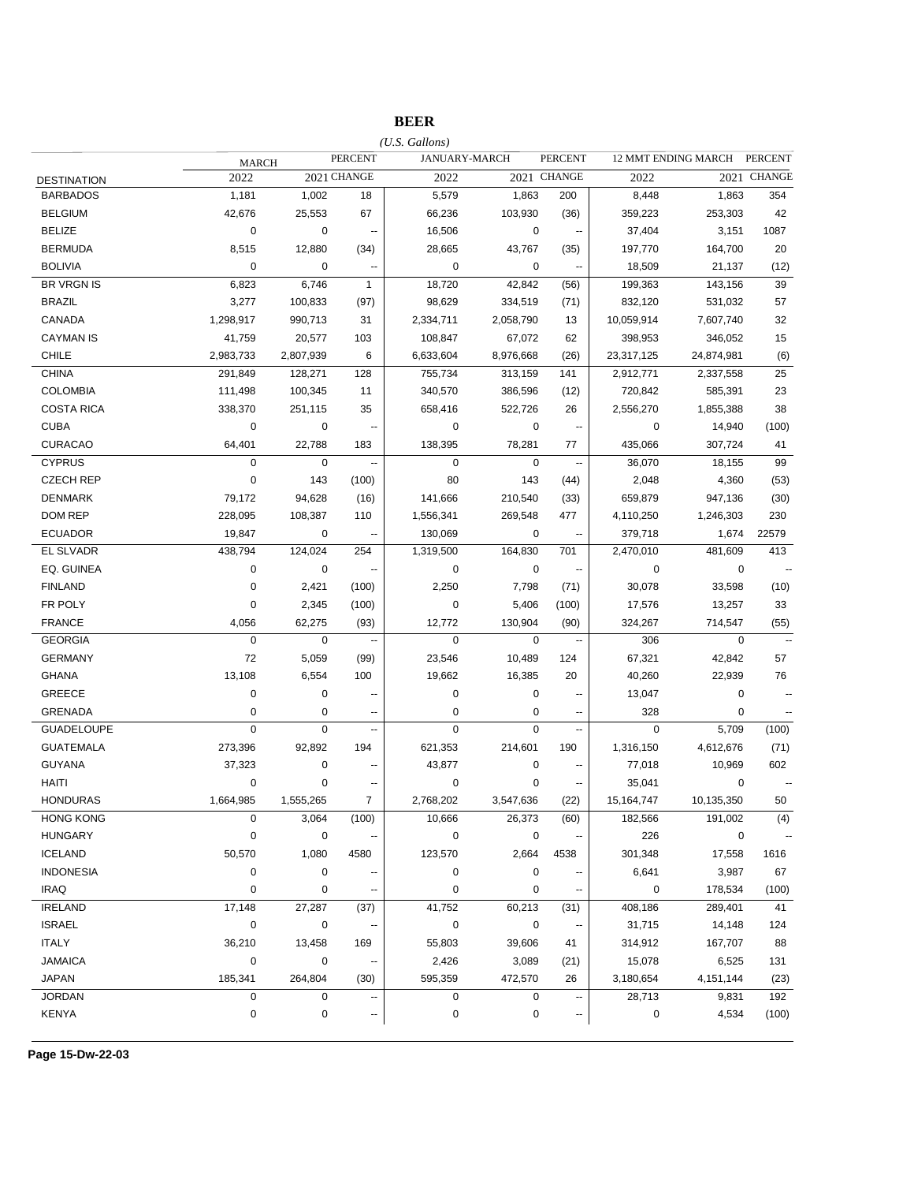## **BEER**

|                    |              |             |                          | $(U.S.$ Gallons)     |             |                          |              |                     |                |
|--------------------|--------------|-------------|--------------------------|----------------------|-------------|--------------------------|--------------|---------------------|----------------|
|                    | <b>MARCH</b> |             | <b>PERCENT</b>           | <b>JANUARY-MARCH</b> |             | <b>PERCENT</b>           |              | 12 MMT ENDING MARCH | <b>PERCENT</b> |
| <b>DESTINATION</b> | 2022         |             | 2021 CHANGE              | 2022                 |             | 2021 CHANGE              | 2022         |                     | 2021 CHANGE    |
| <b>BARBADOS</b>    | 1,181        | 1,002       | 18                       | 5,579                | 1,863       | 200                      | 8,448        | 1,863               | 354            |
| <b>BELGIUM</b>     | 42,676       | 25,553      | 67                       | 66,236               | 103,930     | (36)                     | 359,223      | 253,303             | 42             |
| <b>BELIZE</b>      | 0            | 0           | $\overline{\phantom{a}}$ | 16,506               | $\mathbf 0$ | $\sim$                   | 37,404       | 3,151               | 1087           |
| <b>BERMUDA</b>     | 8,515        | 12,880      | (34)                     | 28,665               | 43,767      | (35)                     | 197,770      | 164,700             | 20             |
| <b>BOLIVIA</b>     | 0            | 0           | ц.                       | $\mathbf 0$          | 0           |                          | 18,509       | 21,137              | (12)           |
| <b>BR VRGN IS</b>  | 6,823        | 6,746       | $\mathbf{1}$             | 18,720               | 42,842      | (56)                     | 199,363      | 143,156             | 39             |
| <b>BRAZIL</b>      | 3,277        | 100,833     | (97)                     | 98,629               | 334,519     | (71)                     | 832,120      | 531,032             | 57             |
| CANADA             | 1,298,917    | 990,713     | 31                       | 2,334,711            | 2,058,790   | 13                       | 10,059,914   | 7,607,740           | 32             |
| <b>CAYMAN IS</b>   | 41,759       | 20,577      | 103                      | 108,847              | 67,072      | 62                       | 398,953      | 346,052             | 15             |
| <b>CHILE</b>       | 2,983,733    | 2,807,939   | 6                        | 6,633,604            | 8,976,668   | (26)                     | 23,317,125   | 24,874,981          | (6)            |
| <b>CHINA</b>       | 291,849      | 128,271     | 128                      | 755,734              | 313,159     | 141                      | 2,912,771    | 2,337,558           | 25             |
| <b>COLOMBIA</b>    | 111,498      | 100,345     | 11                       | 340,570              | 386,596     | (12)                     | 720,842      | 585,391             | 23             |
| <b>COSTA RICA</b>  | 338,370      | 251,115     | 35                       | 658,416              | 522,726     | 26                       | 2,556,270    | 1,855,388           | 38             |
| <b>CUBA</b>        | 0            | $\pmb{0}$   | ۰.                       | $\mathbf 0$          | $\mathbf 0$ | $\overline{\phantom{a}}$ | 0            | 14,940              | (100)          |
| <b>CURACAO</b>     | 64,401       | 22,788      | 183                      | 138,395              | 78,281      | 77                       | 435,066      | 307,724             | 41             |
| <b>CYPRUS</b>      | 0            | $\mathbf 0$ | --                       | $\mathbf 0$          | $\mathbf 0$ | $\sim$                   | 36,070       | 18,155              | 99             |
| <b>CZECH REP</b>   | 0            | 143         | (100)                    | 80                   | 143         | (44)                     | 2,048        | 4,360               | (53)           |
| <b>DENMARK</b>     | 79,172       | 94,628      | (16)                     | 141,666              | 210,540     | (33)                     | 659,879      | 947,136             | (30)           |
| DOM REP            | 228,095      | 108,387     | 110                      | 1,556,341            | 269,548     | 477                      | 4,110,250    | 1,246,303           | 230            |
| <b>ECUADOR</b>     | 19,847       | 0           | Ξ.                       | 130,069              | $\mathbf 0$ | $\sim$                   | 379,718      | 1,674               | 22579          |
| <b>EL SLVADR</b>   | 438,794      | 124,024     | 254                      | 1,319,500            | 164,830     | 701                      | 2,470,010    | 481,609             | 413            |
| EQ. GUINEA         | 0            | $\pmb{0}$   | $\overline{\phantom{a}}$ | $\mathbf 0$          | $\mathbf 0$ | $\sim$                   | 0            | $\mathbf 0$         |                |
| <b>FINLAND</b>     | 0            | 2,421       | (100)                    | 2,250                | 7,798       | (71)                     | 30,078       | 33,598              | (10)           |
| FR POLY            | 0            | 2,345       | (100)                    | 0                    | 5,406       | (100)                    | 17,576       | 13,257              | 33             |
| <b>FRANCE</b>      | 4,056        | 62,275      | (93)                     | 12,772               | 130,904     | (90)                     | 324,267      | 714,547             | (55)           |
| <b>GEORGIA</b>     | 0            | $\mathbf 0$ | $\overline{\phantom{a}}$ | 0                    | $\mathbf 0$ | $\sim$                   | 306          | $\mathbf 0$         | $\mathbf{a}$   |
| <b>GERMANY</b>     | 72           | 5,059       | (99)                     | 23,546               | 10,489      | 124                      | 67,321       | 42,842              | 57             |
| GHANA              | 13,108       | 6,554       | 100                      | 19,662               | 16,385      | 20                       | 40,260       | 22,939              | 76             |
| GREECE             | 0            | 0           | --                       | 0                    | 0           | ц,                       | 13,047       | $\mathbf 0$         | $\overline{a}$ |
| <b>GRENADA</b>     | 0            | 0           | --                       | 0                    | 0           | --                       | 328          | 0                   | --             |
| <b>GUADELOUPE</b>  | 0            | $\mathbf 0$ | --                       | 0                    | $\mathbf 0$ | $\overline{\phantom{a}}$ | 0            | 5,709               | (100)          |
| <b>GUATEMALA</b>   | 273,396      | 92,892      | 194                      | 621,353              | 214,601     | 190                      | 1,316,150    | 4,612,676           | (71)           |
| <b>GUYANA</b>      | 37,323       | 0           | --                       | 43,877               | $\pmb{0}$   |                          | 77,018       | 10,969              | 602            |
| HAITI              | 0            | 0           |                          | 0                    | 0           | --                       | 35,041       | 0                   | ۰.             |
| <b>HONDURAS</b>    | 1,664,985    | 1,555,265   | 7                        | 2,768,202            | 3,547,636   | (22)                     | 15, 164, 747 | 10,135,350          | 50             |
| <b>HONG KONG</b>   | 0            | 3,064       | (100)                    | 10,666               | 26,373      | (60)                     | 182,566      | 191,002             | (4)            |
| <b>HUNGARY</b>     | 0            | 0           |                          | 0                    | $\mathbf 0$ |                          | 226          | 0                   |                |
| <b>ICELAND</b>     | 50,570       | 1,080       | 4580                     | 123,570              | 2,664       | 4538                     | 301,348      | 17,558              | 1616           |
| <b>INDONESIA</b>   | 0            | 0           |                          | 0                    | $\mathbf 0$ |                          | 6,641        | 3,987               | 67             |
| <b>IRAQ</b>        | 0            | 0           |                          | 0                    | 0           |                          | 0            | 178,534             | (100)          |
| <b>IRELAND</b>     | 17,148       | 27,287      | (37)                     | 41,752               | 60,213      | (31)                     | 408,186      | 289,401             | 41             |
| <b>ISRAEL</b>      | 0            | 0           |                          | $\pmb{0}$            | $\mathbf 0$ |                          | 31,715       | 14,148              | 124            |
| <b>ITALY</b>       | 36,210       | 13,458      | 169                      | 55,803               | 39,606      | 41                       | 314,912      | 167,707             | 88             |
| <b>JAMAICA</b>     | 0            | 0           |                          | 2,426                | 3,089       | (21)                     | 15,078       | 6,525               | 131            |
| <b>JAPAN</b>       | 185,341      | 264,804     | (30)                     | 595,359              | 472,570     | 26                       | 3,180,654    | 4, 151, 144         | (23)           |
| <b>JORDAN</b>      | 0            | $\mathbf 0$ |                          | 0                    | $\mathbf 0$ | $\overline{\phantom{a}}$ | 28,713       | 9,831               | 192            |
| <b>KENYA</b>       | 0            | 0           | --                       | 0                    | $\pmb{0}$   | $\overline{\phantom{a}}$ | 0            | 4,534               | (100)          |
|                    |              |             |                          |                      |             |                          |              |                     |                |

**Page 15-Dw-22-03**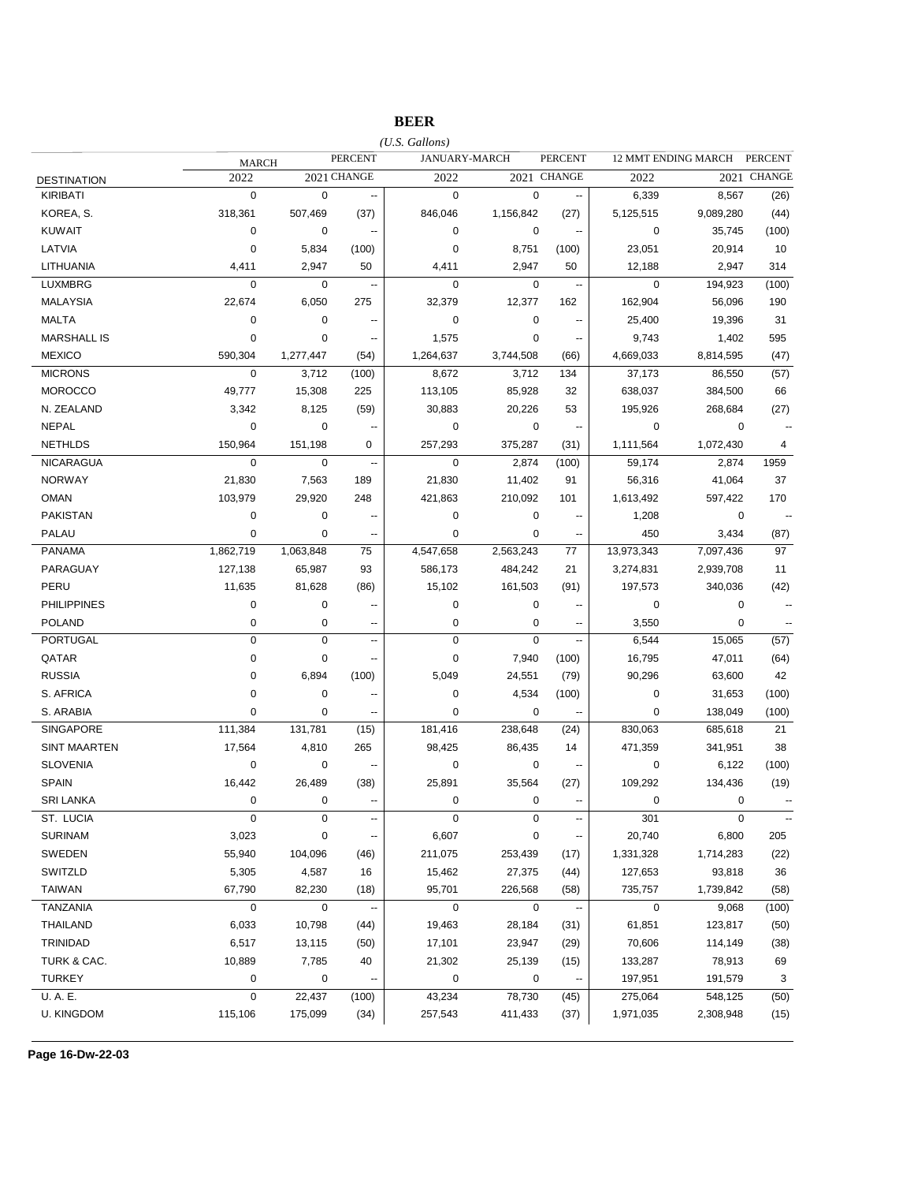## **BEER**

|                     |              |             |                          | $(U.S.$ Gallons) |               |                          |             |                            |                          |
|---------------------|--------------|-------------|--------------------------|------------------|---------------|--------------------------|-------------|----------------------------|--------------------------|
|                     | <b>MARCH</b> |             | <b>PERCENT</b>           |                  | JANUARY-MARCH | <b>PERCENT</b>           |             | <b>12 MMT ENDING MARCH</b> | <b>PERCENT</b>           |
| <b>DESTINATION</b>  | 2022         |             | 2021 CHANGE              | 2022             |               | 2021 CHANGE              | 2022        |                            | 2021 CHANGE              |
| <b>KIRIBATI</b>     | $\mathbf 0$  | $\mathbf 0$ | --                       | $\mathbf 0$      | $\mathbf 0$   | $\overline{\phantom{a}}$ | 6,339       | 8,567                      | (26)                     |
| KOREA, S.           | 318,361      | 507,469     | (37)                     | 846,046          | 1,156,842     | (27)                     | 5,125,515   | 9,089,280                  | (44)                     |
| <b>KUWAIT</b>       | 0            | 0           | $\overline{\phantom{a}}$ | $\mathbf 0$      | 0             | $\overline{\phantom{a}}$ | 0           | 35,745                     | (100)                    |
| LATVIA              | $\mathbf 0$  | 5,834       | (100)                    | $\mathbf 0$      | 8,751         | (100)                    | 23,051      | 20,914                     | 10                       |
| LITHUANIA           | 4,411        | 2,947       | 50                       | 4,411            | 2,947         | 50                       | 12,188      | 2,947                      | 314                      |
| <b>LUXMBRG</b>      | 0            | 0           | --                       | $\mathbf 0$      | 0             | $\overline{\phantom{a}}$ | $\mathbf 0$ | 194,923                    | (100)                    |
| <b>MALAYSIA</b>     | 22,674       | 6,050       | 275                      | 32,379           | 12,377        | 162                      | 162,904     | 56,096                     | 190                      |
| <b>MALTA</b>        | 0            | 0           | $\overline{\phantom{a}}$ | 0                | 0             | --                       | 25,400      | 19,396                     | 31                       |
| <b>MARSHALL IS</b>  | 0            | 0           | $\overline{\phantom{a}}$ | 1,575            | 0             | ٠.                       | 9,743       | 1,402                      | 595                      |
| <b>MEXICO</b>       | 590,304      | 1,277,447   | (54)                     | 1,264,637        | 3,744,508     | (66)                     | 4,669,033   | 8,814,595                  | (47)                     |
| <b>MICRONS</b>      | $\mathbf 0$  | 3,712       | (100)                    | 8,672            | 3,712         | 134                      | 37,173      | 86,550                     | (57)                     |
| <b>MOROCCO</b>      | 49,777       | 15,308      | 225                      | 113,105          | 85,928        | 32                       | 638,037     | 384,500                    | 66                       |
| N. ZEALAND          | 3,342        | 8,125       | (59)                     | 30,883           | 20,226        | 53                       | 195,926     | 268,684                    | (27)                     |
| <b>NEPAL</b>        | 0            | $\mathbf 0$ | --                       | $\mathbf 0$      | 0             | $\ddot{\phantom{a}}$     | 0           | 0                          | $\ddotsc$                |
| <b>NETHLDS</b>      | 150,964      | 151,198     | 0                        | 257,293          | 375,287       | (31)                     | 1,111,564   | 1,072,430                  | 4                        |
| <b>NICARAGUA</b>    | $\mathbf 0$  | $\mathbf 0$ | $\overline{\phantom{a}}$ | $\mathbf 0$      | 2,874         | (100)                    | 59,174      | 2,874                      | 1959                     |
| <b>NORWAY</b>       | 21,830       | 7,563       | 189                      | 21,830           | 11,402        | 91                       | 56,316      | 41,064                     | 37                       |
| <b>OMAN</b>         | 103,979      | 29,920      | 248                      | 421,863          | 210,092       | 101                      | 1,613,492   | 597,422                    | 170                      |
| <b>PAKISTAN</b>     | 0            | 0           |                          | 0                | 0             | $\overline{\phantom{a}}$ | 1,208       | 0                          |                          |
| PALAU               | 0            | 0           | ۰.                       | $\mathbf 0$      | 0             | ۰.                       | 450         | 3,434                      | (87)                     |
| <b>PANAMA</b>       | 1,862,719    | 1,063,848   | 75                       | 4,547,658        | 2,563,243     | 77                       | 13,973,343  | 7,097,436                  | 97                       |
| PARAGUAY            | 127,138      | 65,987      | 93                       | 586,173          | 484,242       | 21                       | 3,274,831   | 2,939,708                  | 11                       |
| PERU                | 11,635       | 81,628      | (86)                     | 15,102           | 161,503       | (91)                     | 197,573     | 340,036                    | (42)                     |
| <b>PHILIPPINES</b>  | 0            | 0           |                          | 0                | 0             |                          | 0           | 0                          | $\overline{\phantom{a}}$ |
| <b>POLAND</b>       | 0            | 0           | --                       | $\mathbf 0$      | 0             | $\overline{\phantom{a}}$ | 3,550       | 0                          |                          |
| <b>PORTUGAL</b>     | 0            | $\pmb{0}$   | $\overline{\phantom{a}}$ | $\mathbf 0$      | $\mathbf 0$   | --                       | 6,544       | 15,065                     | (57)                     |
| QATAR               | 0            | 0           | --                       | $\mathbf 0$      | 7,940         | (100)                    | 16,795      | 47,011                     | (64)                     |
| <b>RUSSIA</b>       | 0            | 6,894       | (100)                    | 5,049            | 24,551        | (79)                     | 90,296      | 63,600                     | 42                       |
| S. AFRICA           | 0            | $\mathbf 0$ | --                       | $\mathbf 0$      | 4,534         | (100)                    | 0           | 31,653                     | (100)                    |
| S. ARABIA           | 0            | 0           | --                       | $\mathbf 0$      | 0             |                          | 0           | 138,049                    | (100)                    |
| <b>SINGAPORE</b>    | 111,384      | 131,781     | (15)                     | 181,416          | 238,648       | (24)                     | 830,063     | 685,618                    | 21                       |
| <b>SINT MAARTEN</b> | 17,564       | 4,810       | 265                      | 98,425           | 86,435        | 14                       | 471,359     | 341,951                    | 38                       |
| <b>SLOVENIA</b>     | 0            | 0           | --                       | $\mathbf 0$      | 0             | --                       | 0           | 6,122                      | (100)                    |
| <b>SPAIN</b>        | 16,442       | 26,489      | (38)                     | 25,891           | 35,564        | (27)                     | 109,292     | 134,436                    | (19)                     |
| <b>SRI LANKA</b>    | $\mathbf 0$  | $\mathbf 0$ | --                       | $\mathbf 0$      | $\mathbf 0$   | $\sim$                   | 0           | $\mathbf 0$                |                          |
| ST. LUCIA           | 0            | $\pmb{0}$   | --                       | $\pmb{0}$        | $\pmb{0}$     | ۰.                       | 301         | $\pmb{0}$                  | $\ddotsc$                |
| <b>SURINAM</b>      | 3,023        | $\pmb{0}$   |                          | 6,607            | $\pmb{0}$     |                          | 20,740      | 6,800                      | 205                      |
| SWEDEN              | 55,940       | 104,096     | (46)                     | 211,075          | 253,439       | (17)                     | 1,331,328   | 1,714,283                  | (22)                     |
| SWITZLD             | 5,305        | 4,587       | 16                       | 15,462           | 27,375        | (44)                     | 127,653     | 93,818                     | 36                       |
| <b>TAIWAN</b>       | 67,790       | 82,230      | (18)                     | 95,701           | 226,568       | (58)                     | 735,757     | 1,739,842                  | (58)                     |
| <b>TANZANIA</b>     | 0            | $\mathbf 0$ | ۰.                       | $\pmb{0}$        | $\pmb{0}$     |                          | $\mathbf 0$ | 9,068                      | (100)                    |
| THAILAND            | 6,033        | 10,798      | (44)                     | 19,463           | 28,184        | (31)                     | 61,851      | 123,817                    | (50)                     |
| TRINIDAD            | 6,517        | 13,115      | (50)                     | 17,101           | 23,947        | (29)                     | 70,606      | 114,149                    | (38)                     |
| TURK & CAC.         | 10,889       | 7,785       | 40                       | 21,302           | 25,139        | (15)                     | 133,287     | 78,913                     | 69                       |
| <b>TURKEY</b>       | 0            | $\pmb{0}$   | --                       | 0                | $\pmb{0}$     |                          | 197,951     | 191,579                    | 3                        |
| U.A.E.              | 0            | 22,437      | (100)                    | 43,234           | 78,730        | (45)                     | 275,064     | 548,125                    | (50)                     |
| <b>U. KINGDOM</b>   | 115,106      | 175,099     | (34)                     | 257,543          | 411,433       | (37)                     | 1,971,035   | 2,308,948                  | (15)                     |
|                     |              |             |                          |                  |               |                          |             |                            |                          |

**Page 16-Dw-22-03**